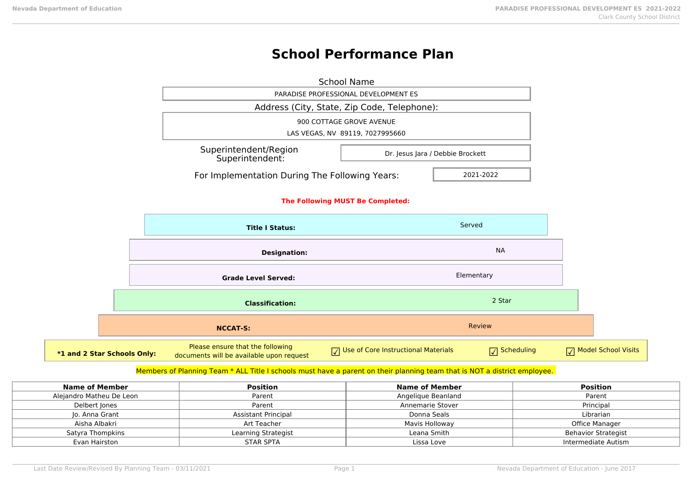# **School Performance Plan**

|                             |                                  | <b>School Name</b>                                                           |                                     |            |                       |                     |
|-----------------------------|----------------------------------|------------------------------------------------------------------------------|-------------------------------------|------------|-----------------------|---------------------|
|                             |                                  | PARADISE PROFESSIONAL DEVELOPMENT ES                                         |                                     |            |                       |                     |
|                             |                                  | Address (City, State, Zip Code, Telephone):                                  |                                     |            |                       |                     |
|                             |                                  | 900 COTTAGE GROVE AVENUE                                                     |                                     |            |                       |                     |
|                             |                                  | LAS VEGAS, NV 89119, 7027995660                                              |                                     |            |                       |                     |
|                             |                                  | Superintendent/Region<br>Dr. Jesus Jara / Debbie Brockett<br>Superintendent: |                                     |            |                       |                     |
|                             |                                  | For Implementation During The Following Years:                               |                                     | 2021-2022  |                       |                     |
|                             |                                  |                                                                              |                                     |            |                       |                     |
|                             | The Following MUST Be Completed: |                                                                              |                                     |            |                       |                     |
|                             |                                  | <b>Title I Status:</b>                                                       |                                     | Served     |                       |                     |
|                             |                                  | <b>Designation:</b>                                                          |                                     |            | <b>NA</b>             |                     |
|                             |                                  | <b>Grade Level Served:</b>                                                   |                                     | Elementary |                       |                     |
|                             |                                  | <b>Classification:</b>                                                       |                                     |            | 2 Star                |                     |
|                             |                                  | <b>NCCAT-S:</b>                                                              |                                     | Review     |                       |                     |
| *1 and 2 Star Schools Only: |                                  | Please ensure that the following<br>documents will be available upon request | Use of Core Instructional Materials |            | $\sqrt{ }$ Scheduling | Model School Visits |

# Members of Planning Team \* ALL Title I schools must have a parent on their planning team that is NOT a district employee.

| Name of Member           | Position                   | Name of Member     | <b>Position</b>     |
|--------------------------|----------------------------|--------------------|---------------------|
| Alejandro Matheu De Leon | Parent                     | Angelique Beanland | Parent              |
| Delbert Jones            | Parent                     | Annemarie Stover   | Principal           |
| Jo. Anna Grant           | <b>Assistant Principal</b> | Donna Seals        | Librarian           |
| Aisha Albakri            | Art Teacher                | Mavis Holloway     | Office Manager      |
| Satyra Thompkins         | Learning Strategist        | Leana Smith        | Behavior Strategist |
| Evan Hairston            | <b>STAR SPTA</b>           | Lissa Love         | Intermediate Autism |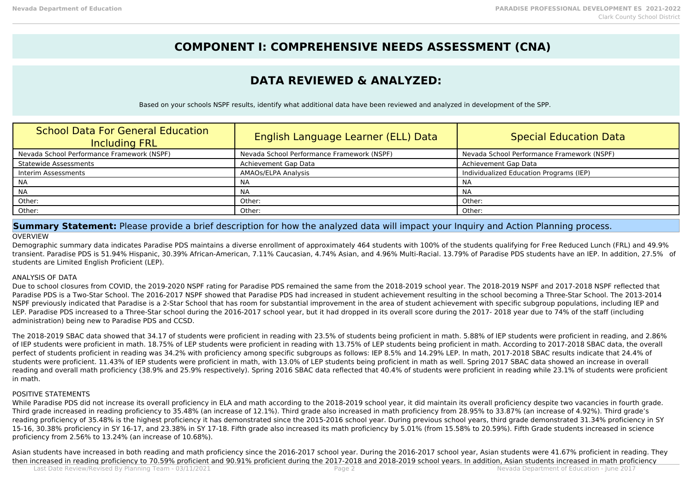# **COMPONENT I: COMPREHENSIVE NEEDS ASSESSMENT (CNA)**

# **DATA REVIEWED & ANALYZED:**

Based on your schools NSPF results, identify what additional data have been reviewed and analyzed in development of the SPP.

| <b>School Data For General Education</b><br><b>Including FRL</b> | English Language Learner (ELL) Data        | Special Education Data                     |
|------------------------------------------------------------------|--------------------------------------------|--------------------------------------------|
| Nevada School Performance Framework (NSPF)                       | Nevada School Performance Framework (NSPF) | Nevada School Performance Framework (NSPF) |
| <b>Statewide Assessments</b>                                     | Achievement Gap Data                       | Achievement Gap Data                       |
| Interim Assessments                                              | AMAOs/ELPA Analysis                        | Individualized Education Programs (IEP)    |
| NA                                                               | <b>NA</b>                                  | <b>NA</b>                                  |
| <b>NA</b>                                                        | NA                                         | <b>NA</b>                                  |
| Other:                                                           | Other:                                     | Other:                                     |
| Other:                                                           | Other:                                     | Other:                                     |

**Summary Statement:** Please provide a brief description for how the analyzed data will impact your Inquiry and Action Planning process. **OVERVIEW** 

## Demographic summary data indicates Paradise PDS maintains a diverse enrollment of approximately 464 students with 100% of the students qualifying for Free Reduced Lunch (FRL) and 49.9% transient. Paradise PDS is 51.94% Hispanic, 30.39% African-American, 7.11% Caucasian, 4.74% Asian, and 4.96% Multi-Racial. 13.79% of Paradise PDS students have an IEP. In addition, 27.5% of students are Limited English Proficient (LEP).

## ANALYSIS OF DATA

Due to school closures from COVID, the 2019-2020 NSPF rating for Paradise PDS remained the same from the 2018-2019 school year. The 2018-2019 NSPF and 2017-2018 NSPF reflected that Paradise PDS is a Two-Star School. The 2016-2017 NSPF showed that Paradise PDS had increased in student achievement resulting in the school becoming a Three-Star School. The 2013-2014 NSPF previously indicated that Paradise is a 2-Star School that has room for substantial improvement in the area of student achievement with specific subgroup populations, including IEP and LEP. Paradise PDS increased to a Three-Star school during the 2016-2017 school year, but it had dropped in its overall score during the 2017- 2018 year due to 74% of the staff (including administration) being new to Paradise PDS and CCSD.

The 2018-2019 SBAC data showed that 34.17 of students were proficient in reading with 23.5% of students being proficient in math. 5.88% of IEP students were proficient in reading, and 2.86% of IEP students were proficient in math. 18.75% of LEP students were proficient in reading with 13.75% of LEP students being proficient in math. According to 2017-2018 SBAC data, the overall perfect of students proficient in reading was 34.2% with proficiency among specific subgroups as follows: IEP 8.5% and 14.29% LEP. In math, 2017-2018 SBAC results indicate that 24.4% of students were proficient. 11.43% of IEP students were proficient in math, with 13.0% of LEP students being proficient in math as well. Spring 2017 SBAC data showed an increase in overall reading and overall math proficiency (38.9% and 25.9% respectively). Spring 2016 SBAC data reflected that 40.4% of students were proficient in reading while 23.1% of students were proficient in math.

## POSITIVE STATEMENTS

While Paradise PDS did not increase its overall proficiency in ELA and math according to the 2018-2019 school year, it did maintain its overall proficiency despite two vacancies in fourth grade. Third grade increased in reading proficiency to 35.48% (an increase of 12.1%). Third grade also increased in math proficiency from 28.95% to 33.87% (an increase of 4.92%). Third grade's reading proficiency of 35.48% is the highest proficiency it has demonstrated since the 2015-2016 school year. During previous school years, third grade demonstrated 31.34% proficiency in SY 15-16, 30.38% proficiency in SY 16-17, and 23.38% in SY 17-18. Fifth grade also increased its math proficiency by 5.01% (from 15.58% to 20.59%). Fifth Grade students increased in science proficiency from 2.56% to 13.24% (an increase of 10.68%).

Asian students have increased in both reading and math proficiency since the 2016-2017 school year. During the 2016-2017 school year, Asian students were 41.67% proficient in reading. They then increased in reading proficiency to 70.59% proficient and 90.91% proficient during the 2017-2018 and 2018-2019 school years. In addition, Asian students increased in math proficiency<br>Nevada Department of Education - J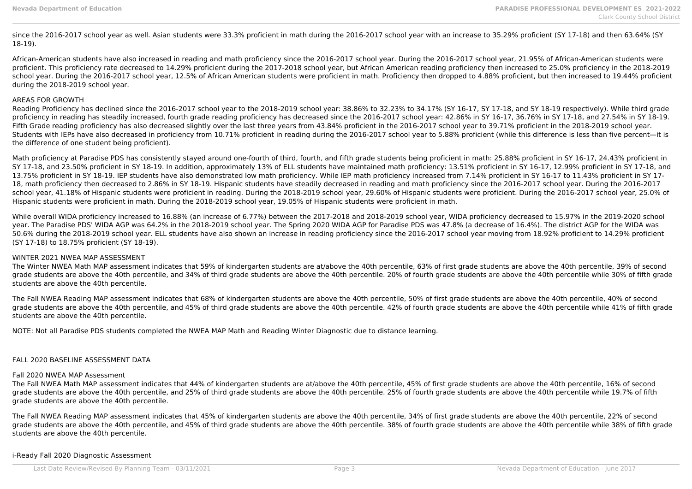since the 2016-2017 school year as well. Asian students were 33.3% proficient in math during the 2016-2017 school year with an increase to 35.29% proficient (SY 17-18) and then 63.64% (SY 18-19).

African-American students have also increased in reading and math proficiency since the 2016-2017 school year. During the 2016-2017 school year, 21.95% of African-American students were proficient. This proficiency rate decreased to 14.29% proficient during the 2017-2018 school year, but African American reading proficiency then increased to 25.0% proficiency in the 2018-2019 school year. During the 2016-2017 school year, 12.5% of African American students were proficient in math. Proficiency then dropped to 4.88% proficient, but then increased to 19.44% proficient during the 2018-2019 school year.

### AREAS FOR GROWTH

Reading Proficiency has declined since the 2016-2017 school year to the 2018-2019 school year: 38.86% to 32.23% to 34.17% (SY 16-17, SY 17-18, and SY 18-19 respectively). While third grade proficiency in reading has steadily increased, fourth grade reading proficiency has decreased since the 2016-2017 school year: 42.86% in SY 16-17, 36.76% in SY 17-18, and 27.54% in SY 18-19. Fifth Grade reading proficiency has also decreased slightly over the last three years from 43.84% proficient in the 2016-2017 school year to 39.71% proficient in the 2018-2019 school year. Students with IEPs have also decreased in proficiency from 10.71% proficient in reading during the 2016-2017 school year to 5.88% proficient (while this difference is less than five percent—it is the difference of one student being proficient).

Math proficiency at Paradise PDS has consistently stayed around one-fourth of third, fourth, and fifth grade students being proficient in math: 25.88% proficient in SY 16-17, 24.43% proficient in SY 17-18, and 23.50% proficient in SY 18-19. In addition, approximately 13% of ELL students have maintained math proficiency: 13.51% proficient in SY 16-17, 12.99% proficient in SY 17-18, and 13.75% proficient in SY 18-19. IEP students have also demonstrated low math proficiency. While IEP math proficiency increased from 7.14% proficient in SY 16-17 to 11.43% proficient in SY 17- 18, math proficiency then decreased to 2.86% in SY 18-19. Hispanic students have steadily decreased in reading and math proficiency since the 2016-2017 school year. During the 2016-2017 school year, 41.18% of Hispanic students were proficient in reading. During the 2018-2019 school year, 29.60% of Hispanic students were proficient. During the 2016-2017 school year, 25.0% of Hispanic students were proficient in math. During the 2018-2019 school year, 19.05% of Hispanic students were proficient in math.

While overall WIDA proficiency increased to 16.88% (an increase of 6.77%) between the 2017-2018 and 2018-2019 school year, WIDA proficiency decreased to 15.97% in the 2019-2020 school year. The Paradise PDS' WIDA AGP was 64.2% in the 2018-2019 school year. The Spring 2020 WIDA AGP for Paradise PDS was 47.8% (a decrease of 16.4%). The district AGP for the WIDA was 50.6% during the 2018-2019 school year. ELL students have also shown an increase in reading proficiency since the 2016-2017 school year moving from 18.92% proficient to 14.29% proficient (SY 17-18) to 18.75% proficient (SY 18-19).

#### WINTER 2021 NWEA MAP ASSESSMENT

The Winter NWEA Math MAP assessment indicates that 59% of kindergarten students are at/above the 40th percentile, 63% of first grade students are above the 40th percentile, 39% of second grade students are above the 40th percentile, and 34% of third grade students are above the 40th percentile. 20% of fourth grade students are above the 40th percentile while 30% of fifth grade students are above the 40th percentile.

The Fall NWEA Reading MAP assessment indicates that 68% of kindergarten students are above the 40th percentile, 50% of first grade students are above the 40th percentile, 40% of second grade students are above the 40th percentile, and 45% of third grade students are above the 40th percentile. 42% of fourth grade students are above the 40th percentile while 41% of fifth grade students are above the 40th percentile.

NOTE: Not all Paradise PDS students completed the NWEA MAP Math and Reading Winter Diagnostic due to distance learning.

#### FALL 2020 BASELINE ASSESSMENT DATA

#### Fall 2020 NWEA MAP Assessment

The Fall NWEA Math MAP assessment indicates that 44% of kindergarten students are at/above the 40th percentile, 45% of first grade students are above the 40th percentile, 16% of second grade students are above the 40th percentile, and 25% of third grade students are above the 40th percentile. 25% of fourth grade students are above the 40th percentile while 19.7% of fifth grade students are above the 40th percentile.

The Fall NWEA Reading MAP assessment indicates that 45% of kindergarten students are above the 40th percentile, 34% of first grade students are above the 40th percentile, 22% of second grade students are above the 40th percentile, and 45% of third grade students are above the 40th percentile. 38% of fourth grade students are above the 40th percentile while 38% of fifth grade students are above the 40th percentile.

#### i-Ready Fall 2020 Diagnostic Assessment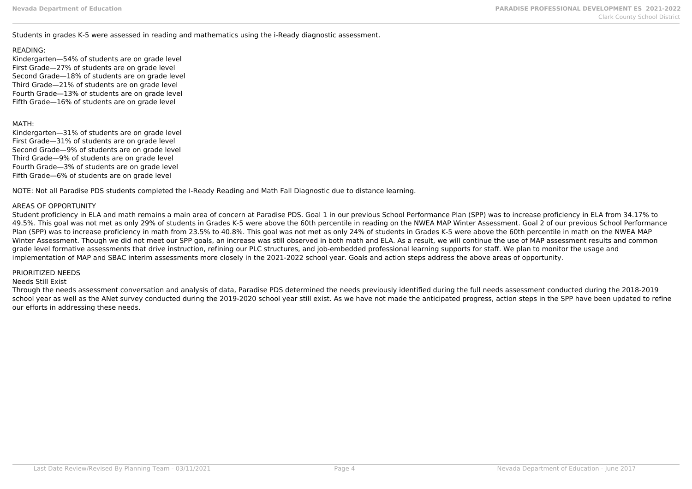### Students in grades K-5 were assessed in reading and mathematics using the i-Ready diagnostic assessment.

### READING:

Kindergarten—54% of students are on grade level First Grade—27% of students are on grade level Second Grade—18% of students are on grade level Third Grade—21% of students are on grade level Fourth Grade—13% of students are on grade level Fifth Grade—16% of students are on grade level

## MATH:

Kindergarten—31% of students are on grade level First Grade—31% of students are on grade level Second Grade—9% of students are on grade level Third Grade—9% of students are on grade level Fourth Grade—3% of students are on grade level Fifth Grade—6% of students are on grade level

NOTE: Not all Paradise PDS students completed the I-Ready Reading and Math Fall Diagnostic due to distance learning.

## AREAS OF OPPORTUNITY

Student proficiency in ELA and math remains a main area of concern at Paradise PDS. Goal 1 in our previous School Performance Plan (SPP) was to increase proficiency in ELA from 34.17% to 49.5%. This goal was not met as only 29% of students in Grades K-5 were above the 60th percentile in reading on the NWEA MAP Winter Assessment. Goal 2 of our previous School Performance Plan (SPP) was to increase proficiency in math from 23.5% to 40.8%. This goal was not met as only 24% of students in Grades K-5 were above the 60th percentile in math on the NWEA MAP Winter Assessment. Though we did not meet our SPP goals, an increase was still observed in both math and ELA. As a result, we will continue the use of MAP assessment results and common grade level formative assessments that drive instruction, refining our PLC structures, and job-embedded professional learning supports for staff. We plan to monitor the usage and implementation of MAP and SBAC interim assessments more closely in the 2021-2022 school year. Goals and action steps address the above areas of opportunity.

#### PRIORITIZED NEEDS

#### Needs Still Exist

Through the needs assessment conversation and analysis of data, Paradise PDS determined the needs previously identified during the full needs assessment conducted during the 2018-2019 school year as well as the ANet survey conducted during the 2019-2020 school year still exist. As we have not made the anticipated progress, action steps in the SPP have been updated to refine our efforts in addressing these needs.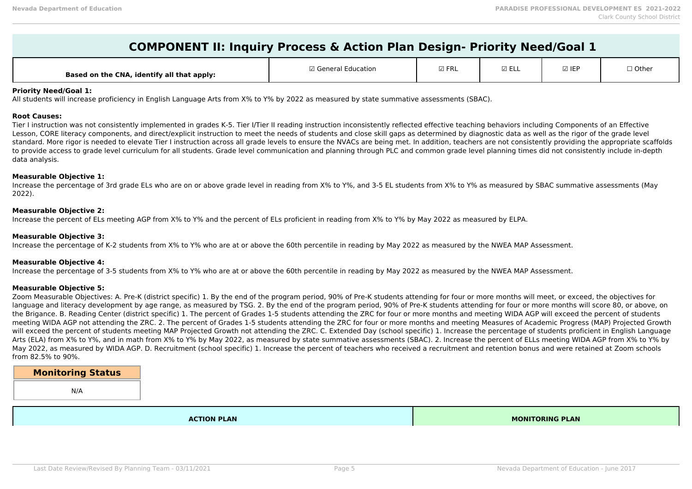| <b>COMPONENT II: Inquiry Process &amp; Action Plan Design- Priority Need/Goal 1</b> |                     |               |                 |       |         |  |  |
|-------------------------------------------------------------------------------------|---------------------|---------------|-----------------|-------|---------|--|--|
| Based on the CNA, identify all that apply:                                          | ⊠ General Education | $\boxdot$ FRL | $\boxtimes$ ELL | ☑ IEP | □ Other |  |  |

#### **Priority Need/Goal 1:**

All students will increase proficiency in English Language Arts from X% to Y% by 2022 as measured by state summative assessments (SBAC).

#### **Root Causes:**

Tier I instruction was not consistently implemented in grades K-5. Tier I/Tier II reading instruction inconsistently reflected effective teaching behaviors including Components of an Effective Lesson, CORE literacy components, and direct/explicit instruction to meet the needs of students and close skill gaps as determined by diagnostic data as well as the rigor of the grade level standard. More rigor is needed to elevate Tier I instruction across all grade levels to ensure the NVACs are being met. In addition, teachers are not consistently providing the appropriate scaffolds to provide access to grade level curriculum for all students. Grade level communication and planning through PLC and common grade level planning times did not consistently include in-depth data analysis.

### **Measurable Objective 1:**

Increase the percentage of 3rd grade ELs who are on or above grade level in reading from X% to Y%, and 3-5 EL students from X% to Y% as measured by SBAC summative assessments (May 2022).

#### **Measurable Objective 2:**

Increase the percent of ELs meeting AGP from X% to Y% and the percent of ELs proficient in reading from X% to Y% by May 2022 as measured by ELPA.

#### **Measurable Objective 3:**

Increase the percentage of K-2 students from X% to Y% who are at or above the 60th percentile in reading by May 2022 as measured by the NWEA MAP Assessment.

#### **Measurable Objective 4:**

Increase the percentage of 3-5 students from X% to Y% who are at or above the 60th percentile in reading by May 2022 as measured by the NWEA MAP Assessment.

#### **Measurable Objective 5:**

Zoom Measurable Objectives: A. Pre-K (district specific) 1. By the end of the program period, 90% of Pre-K students attending for four or more months will meet, or exceed, the objectives for language and literacy development by age range, as measured by TSG. 2. By the end of the program period, 90% of Pre-K students attending for four or more months will score 80, or above, on the Brigance. B. Reading Center (district specific) 1. The percent of Grades 1-5 students attending the ZRC for four or more months and meeting WIDA AGP will exceed the percent of students meeting WIDA AGP not attending the ZRC. 2. The percent of Grades 1-5 students attending the ZRC for four or more months and meeting Measures of Academic Progress (MAP) Projected Growth will exceed the percent of students meeting MAP Projected Growth not attending the ZRC. C. Extended Day (school specific) 1. Increase the percentage of students proficient in English Language Arts (ELA) from X% to Y%, and in math from X% to Y% by May 2022, as measured by state summative assessments (SBAC). 2. Increase the percent of ELLs meeting WIDA AGP from X% to Y% by May 2022, as measured by WIDA AGP. D. Recruitment (school specific) 1. Increase the percent of teachers who received a recruitment and retention bonus and were retained at Zoom schools from 82.5% to 90%.

# **Monitoring Status**

N/A

**ACTION PLAN MONITORING PLAN**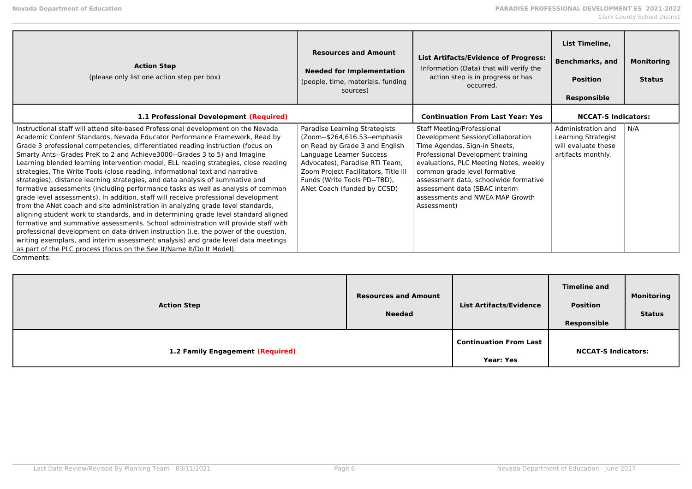| <b>Action Step</b><br>(please only list one action step per box)                                                                                                                                                                                                                                                                                                                                                                                                                                                                                                                                                                                                                                                                                                                                                                                                                                                                                                                                                                                                                                                                                                                                                                                                                                     | <b>Resources and Amount</b><br><b>Needed for Implementation</b><br>(people, time, materials, funding<br>sources)                                                                                                                                                      | <b>List Artifacts/Evidence of Progress:</b><br>Information (Data) that will verify the<br>action step is in progress or has<br>occurred.                                                                                                                                                                                                           | List Timeline,<br><b>Benchmarks, and</b><br><b>Position</b><br><b>Responsible</b>      | <b>Monitoring</b><br><b>Status</b> |
|------------------------------------------------------------------------------------------------------------------------------------------------------------------------------------------------------------------------------------------------------------------------------------------------------------------------------------------------------------------------------------------------------------------------------------------------------------------------------------------------------------------------------------------------------------------------------------------------------------------------------------------------------------------------------------------------------------------------------------------------------------------------------------------------------------------------------------------------------------------------------------------------------------------------------------------------------------------------------------------------------------------------------------------------------------------------------------------------------------------------------------------------------------------------------------------------------------------------------------------------------------------------------------------------------|-----------------------------------------------------------------------------------------------------------------------------------------------------------------------------------------------------------------------------------------------------------------------|----------------------------------------------------------------------------------------------------------------------------------------------------------------------------------------------------------------------------------------------------------------------------------------------------------------------------------------------------|----------------------------------------------------------------------------------------|------------------------------------|
| 1.1 Professional Development (Required)                                                                                                                                                                                                                                                                                                                                                                                                                                                                                                                                                                                                                                                                                                                                                                                                                                                                                                                                                                                                                                                                                                                                                                                                                                                              |                                                                                                                                                                                                                                                                       | <b>Continuation From Last Year: Yes</b>                                                                                                                                                                                                                                                                                                            | <b>NCCAT-S Indicators:</b>                                                             |                                    |
| Instructional staff will attend site-based Professional development on the Nevada<br>Academic Content Standards, Nevada Educator Performance Framework, Read by<br>Grade 3 professional competencies, differentiated reading instruction (focus on<br>Smarty Ants--Grades PreK to 2 and Achieve3000--Grades 3 to 5) and Imagine<br>Learning blended learning intervention model, ELL reading strategies, close reading<br>strategies, The Write Tools (close reading, informational text and narrative<br>strategies), distance learning strategies, and data analysis of summative and<br>formative assessments (including performance tasks as well as analysis of common<br>grade level assessments). In addition, staff will receive professional development<br>from the ANet coach and site administration in analyzing grade level standards,<br>aligning student work to standards, and in determining grade level standard aligned<br>formative and summative assessments. School administration will provide staff with<br>professional development on data-driven instruction (i.e. the power of the question,<br>writing exemplars, and interim assessment analysis) and grade level data meetings<br>as part of the PLC process (focus on the See It/Name It/Do It Model).<br>Comments: | Paradise Learning Strategists<br>(Zoom--\$264,616.53--emphasis<br>on Read by Grade 3 and English<br>Language Learner Success<br>Advocates), Paradise RTI Team,<br>Zoom Project Facilitators, Title III<br>Funds (Write Tools PD--TBD),<br>ANet Coach (funded by CCSD) | <b>Staff Meeting/Professional</b><br>Development Session/Collaboration<br>Time Agendas, Sign-in Sheets,<br>Professional Development training<br>evaluations, PLC Meeting Notes, weekly<br>common grade level formative<br>assessment data, schoolwide formative<br>assessment data (SBAC interim<br>assessments and NWEA MAP Growth<br>Assessment) | Administration and<br>Learning Strategist<br>will evaluate these<br>artifacts monthly. | N/A                                |

| <b>Action Step</b>               | <b>Resources and Amount</b><br><b>Needed</b> | <b>List Artifacts/Evidence</b>                    | <b>Timeline and</b><br><b>Position</b><br>Responsible | <b>Monitoring</b><br><b>Status</b> |
|----------------------------------|----------------------------------------------|---------------------------------------------------|-------------------------------------------------------|------------------------------------|
| 1.2 Family Engagement (Required) |                                              | <b>Continuation From Last</b><br><b>Year: Yes</b> | <b>NCCAT-S Indicators:</b>                            |                                    |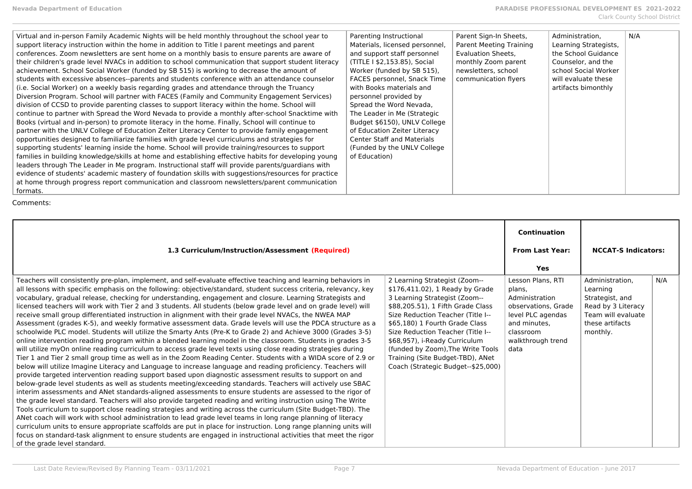| 1.3 Curriculum/Instruction/Assessment (Required)                                                                                                                                                                                                                                                                                                                                                                                                                                                                                                                                                                                                                                                                                                                                                                                                                                                                                                                                                                                                                                                                                                                                                                                                                                                                                                                                                                                                                                                                                                                                                                                                                                                                                                                                                                                                                                                                                                                                                                                                                                                                                                                                                                                                     |                                                                                                                                                                                                                                                                                                                                                                                                    | <b>Continuation</b><br><b>From Last Year:</b>                                                                                                       | <b>NCCAT-S Indicators:</b>                                                                                                |     |
|------------------------------------------------------------------------------------------------------------------------------------------------------------------------------------------------------------------------------------------------------------------------------------------------------------------------------------------------------------------------------------------------------------------------------------------------------------------------------------------------------------------------------------------------------------------------------------------------------------------------------------------------------------------------------------------------------------------------------------------------------------------------------------------------------------------------------------------------------------------------------------------------------------------------------------------------------------------------------------------------------------------------------------------------------------------------------------------------------------------------------------------------------------------------------------------------------------------------------------------------------------------------------------------------------------------------------------------------------------------------------------------------------------------------------------------------------------------------------------------------------------------------------------------------------------------------------------------------------------------------------------------------------------------------------------------------------------------------------------------------------------------------------------------------------------------------------------------------------------------------------------------------------------------------------------------------------------------------------------------------------------------------------------------------------------------------------------------------------------------------------------------------------------------------------------------------------------------------------------------------------|----------------------------------------------------------------------------------------------------------------------------------------------------------------------------------------------------------------------------------------------------------------------------------------------------------------------------------------------------------------------------------------------------|-----------------------------------------------------------------------------------------------------------------------------------------------------|---------------------------------------------------------------------------------------------------------------------------|-----|
|                                                                                                                                                                                                                                                                                                                                                                                                                                                                                                                                                                                                                                                                                                                                                                                                                                                                                                                                                                                                                                                                                                                                                                                                                                                                                                                                                                                                                                                                                                                                                                                                                                                                                                                                                                                                                                                                                                                                                                                                                                                                                                                                                                                                                                                      |                                                                                                                                                                                                                                                                                                                                                                                                    |                                                                                                                                                     |                                                                                                                           |     |
|                                                                                                                                                                                                                                                                                                                                                                                                                                                                                                                                                                                                                                                                                                                                                                                                                                                                                                                                                                                                                                                                                                                                                                                                                                                                                                                                                                                                                                                                                                                                                                                                                                                                                                                                                                                                                                                                                                                                                                                                                                                                                                                                                                                                                                                      |                                                                                                                                                                                                                                                                                                                                                                                                    | <b>Yes</b>                                                                                                                                          |                                                                                                                           |     |
| Teachers will consistently pre-plan, implement, and self-evaluate effective teaching and learning behaviors in<br>all lessons with specific emphasis on the following: objective/standard, student success criteria, relevancy, key<br>vocabulary, gradual release, checking for understanding, engagement and closure. Learning Strategists and<br>licensed teachers will work with Tier 2 and 3 students. All students (below grade level and on grade level) will<br>receive small group differentiated instruction in alignment with their grade level NVACs, the NWEA MAP<br>Assessment (grades K-5), and weekly formative assessment data. Grade levels will use the PDCA structure as a<br>schoolwide PLC model. Students will utilize the Smarty Ants (Pre-K to Grade 2) and Achieve 3000 (Grades 3-5)<br>online intervention reading program within a blended learning model in the classroom. Students in grades 3-5<br>will utilize myOn online reading curriculum to access grade level texts using close reading strategies during<br>Tier 1 and Tier 2 small group time as well as in the Zoom Reading Center. Students with a WIDA score of 2.9 or<br>below will utilize Imagine Literacy and Language to increase language and reading proficiency. Teachers will<br>provide targeted intervention reading support based upon diagnostic assessment results to support on and<br>below-grade level students as well as students meeting/exceeding standards. Teachers will actively use SBAC<br>interim assessments and ANet standards-aligned assessments to ensure students are assessed to the rigor of<br>the grade level standard. Teachers will also provide targeted reading and writing instruction using The Write<br>Tools curriculum to support close reading strategies and writing across the curriculum (Site Budget-TBD). The<br>ANet coach will work with school administration to lead grade level teams in long range planning of literacy<br>curriculum units to ensure appropriate scaffolds are put in place for instruction. Long range planning units will<br>focus on standard-task alignment to ensure students are engaged in instructional activities that meet the rigor<br>of the grade level standard. | 2 Learning Strategist (Zoom--<br>\$176,411.02), 1 Ready by Grade<br>3 Learning Strategist (Zoom--<br>\$88,205.51), 1 Fifth Grade Class<br>Size Reduction Teacher (Title I--<br>\$65,180) 1 Fourth Grade Class<br>Size Reduction Teacher (Title I--<br>\$68,957), i-Ready Curriculum<br>(funded by Zoom), The Write Tools<br>Training (Site Budget-TBD), ANet<br>Coach (Strategic Budget--\$25,000) | Lesson Plans, RTI<br>plans.<br>Administration<br>observations, Grade<br>level PLC agendas<br>and minutes.<br>classroom<br>walkthrough trend<br>data | Administration.<br>Learning<br>Strategist, and<br>Read by 3 Literacy<br>Team will evaluate<br>these artifacts<br>monthly. | N/A |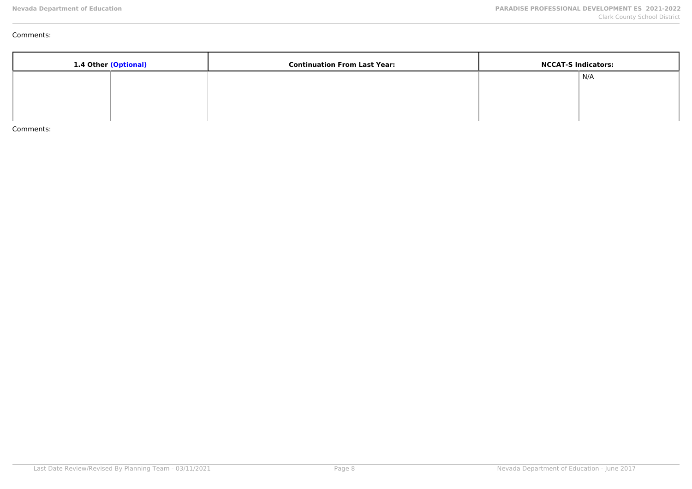| 1.4 Other (Optional) | <b>Continuation From Last Year:</b> | <b>NCCAT-S Indicators:</b> |
|----------------------|-------------------------------------|----------------------------|
|                      |                                     | $\mid N/A$                 |
|                      |                                     |                            |
|                      |                                     |                            |
|                      |                                     |                            |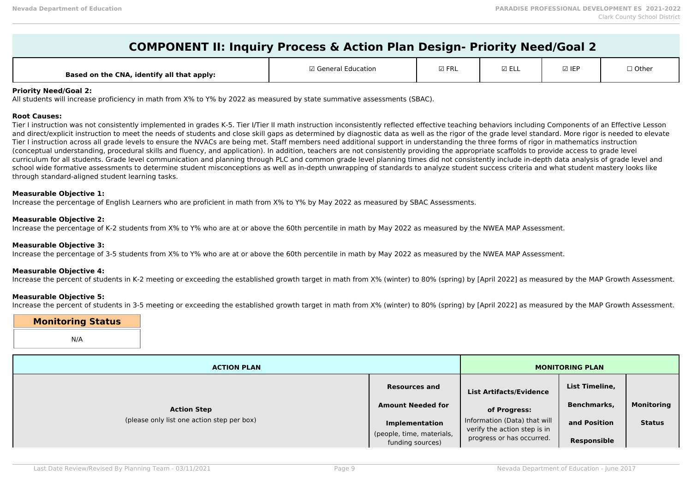| <b>COMPONENT II: Inquiry Process &amp; Action Plan Design- Priority Need/Goal 2</b> |  |
|-------------------------------------------------------------------------------------|--|
|-------------------------------------------------------------------------------------|--|

| Based on the CNA, identify all that apply: | Education<br>7 General | $\boxdot$ FRL | $- -$<br>≃⊢∟∟ | <b>☑ IEF</b> | $\Box$ Other |
|--------------------------------------------|------------------------|---------------|---------------|--------------|--------------|
|--------------------------------------------|------------------------|---------------|---------------|--------------|--------------|

#### **Priority Need/Goal 2:**

All students will increase proficiency in math from X% to Y% by 2022 as measured by state summative assessments (SBAC).

#### **Root Causes:**

Tier I instruction was not consistently implemented in grades K-5. Tier I/Tier II math instruction inconsistently reflected effective teaching behaviors including Components of an Effective Lesson and direct/explicit instruction to meet the needs of students and close skill gaps as determined by diagnostic data as well as the rigor of the grade level standard. More rigor is needed to elevate Tier I instruction across all grade levels to ensure the NVACs are being met. Staff members need additional support in understanding the three forms of rigor in mathematics instruction (conceptual understanding, procedural skills and fluency, and application). In addition, teachers are not consistently providing the appropriate scaffolds to provide access to grade level curriculum for all students. Grade level communication and planning through PLC and common grade level planning times did not consistently include in-depth data analysis of grade level and school wide formative assessments to determine student misconceptions as well as in-depth unwrapping of standards to analyze student success criteria and what student mastery looks like through standard-aligned student learning tasks.

#### **Measurable Objective 1:**

Increase the percentage of English Learners who are proficient in math from X% to Y% by May 2022 as measured by SBAC Assessments.

#### **Measurable Objective 2:**

Increase the percentage of K-2 students from X% to Y% who are at or above the 60th percentile in math by May 2022 as measured by the NWEA MAP Assessment.

#### **Measurable Objective 3:**

Increase the percentage of 3-5 students from X% to Y% who are at or above the 60th percentile in math by May 2022 as measured by the NWEA MAP Assessment.

#### **Measurable Objective 4:**

Increase the percent of students in K-2 meeting or exceeding the established growth target in math from X% (winter) to 80% (spring) by [April 2022] as measured by the MAP Growth Assessment.

#### **Measurable Objective 5:**

Increase the percent of students in 3-5 meeting or exceeding the established growth target in math from X% (winter) to 80% (spring) by [April 2022] as measured by the MAP Growth Assessment.

# **Monitoring Status**

N/A

| <b>ACTION PLAN</b>                         |                                                    | <b>MONITORING PLAN</b>                                       |                    |                   |
|--------------------------------------------|----------------------------------------------------|--------------------------------------------------------------|--------------------|-------------------|
|                                            | <b>Resources and</b>                               | <b>List Artifacts/Evidence</b>                               | List Timeline,     |                   |
| <b>Action Step</b>                         | <b>Amount Needed for</b>                           | of Progress:                                                 | <b>Benchmarks,</b> | <b>Monitoring</b> |
| (please only list one action step per box) | <b>Implementation</b><br>(people, time, materials, | Information (Data) that will<br>verify the action step is in | and Position       | <b>Status</b>     |
|                                            | funding sources)                                   | progress or has occurred.                                    | <b>Responsible</b> |                   |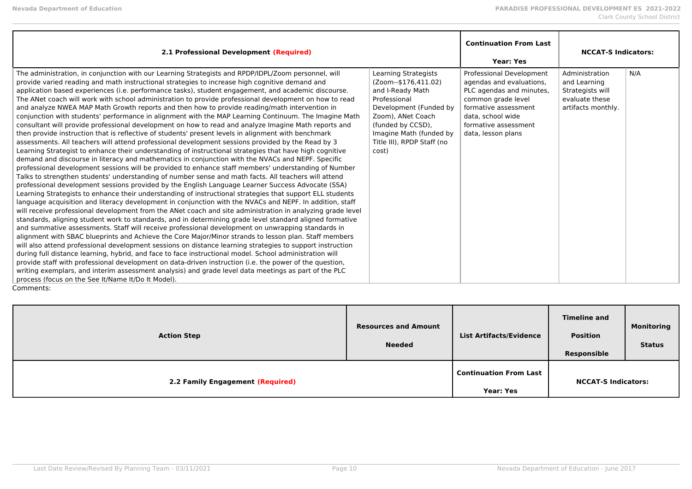| 2.1 Professional Development (Required)                                                                                                                                                                                                                                                                                                                                                                                                                                                                                                                                                                                                                                                                                                                                                                                                                                                                                                                                                                                                                                                                                                                                                                                                                                                                                                                                                                                                                                                                                                                                                                                                                                                                                                                                                                                                                                                                                                                                                                                                                                                                                                                                                                                                                                                                                                                                                                                                                                                                                                                                                                                                                                  |                                                                                                                                                                                                                        | <b>Continuation From Last</b><br><b>Year: Yes</b>                                                                                                                                                 | <b>NCCAT-S Indicators:</b>                                                                 |     |
|--------------------------------------------------------------------------------------------------------------------------------------------------------------------------------------------------------------------------------------------------------------------------------------------------------------------------------------------------------------------------------------------------------------------------------------------------------------------------------------------------------------------------------------------------------------------------------------------------------------------------------------------------------------------------------------------------------------------------------------------------------------------------------------------------------------------------------------------------------------------------------------------------------------------------------------------------------------------------------------------------------------------------------------------------------------------------------------------------------------------------------------------------------------------------------------------------------------------------------------------------------------------------------------------------------------------------------------------------------------------------------------------------------------------------------------------------------------------------------------------------------------------------------------------------------------------------------------------------------------------------------------------------------------------------------------------------------------------------------------------------------------------------------------------------------------------------------------------------------------------------------------------------------------------------------------------------------------------------------------------------------------------------------------------------------------------------------------------------------------------------------------------------------------------------------------------------------------------------------------------------------------------------------------------------------------------------------------------------------------------------------------------------------------------------------------------------------------------------------------------------------------------------------------------------------------------------------------------------------------------------------------------------------------------------|------------------------------------------------------------------------------------------------------------------------------------------------------------------------------------------------------------------------|---------------------------------------------------------------------------------------------------------------------------------------------------------------------------------------------------|--------------------------------------------------------------------------------------------|-----|
| The administration, in conjunction with our Learning Strategists and RPDP/IDPL/Zoom personnel, will<br>provide varied reading and math instructional strategies to increase high cognitive demand and<br>application based experiences (i.e. performance tasks), student engagement, and academic discourse.<br>The ANet coach will work with school administration to provide professional development on how to read<br>and analyze NWEA MAP Math Growth reports and then how to provide reading/math intervention in<br>conjunction with students' performance in alignment with the MAP Learning Continuum. The Imagine Math<br>consultant will provide professional development on how to read and analyze Imagine Math reports and<br>then provide instruction that is reflective of students' present levels in alignment with benchmark<br>assessments. All teachers will attend professional development sessions provided by the Read by 3<br>Learning Strategist to enhance their understanding of instructional strategies that have high cognitive<br>demand and discourse in literacy and mathematics in conjunction with the NVACs and NEPF. Specific<br>professional development sessions will be provided to enhance staff members' understanding of Number<br>Talks to strengthen students' understanding of number sense and math facts. All teachers will attend<br>professional development sessions provided by the English Language Learner Success Advocate (SSA)<br>Learning Strategists to enhance their understanding of instructional strategies that support ELL students<br>language acquisition and literacy development in conjunction with the NVACs and NEPF. In addition, staff<br>will receive professional development from the ANet coach and site administration in analyzing grade level<br>standards, aligning student work to standards, and in determining grade level standard aligned formative<br>and summative assessments. Staff will receive professional development on unwrapping standards in<br>alignment with SBAC blueprints and Achieve the Core Major/Minor strands to lesson plan. Staff members<br>will also attend professional development sessions on distance learning strategies to support instruction<br>during full distance learning, hybrid, and face to face instructional model. School administration will<br>provide staff with professional development on data-driven instruction (i.e. the power of the question,<br>writing exemplars, and interim assessment analysis) and grade level data meetings as part of the PLC<br>process (focus on the See It/Name It/Do It Model).<br>Comments: | Learning Strategists<br>(Zoom--\$176,411.02)<br>and I-Ready Math<br>Professional<br>Development (Funded by<br>Zoom), ANet Coach<br>(funded by CCSD),<br>Imagine Math (funded by<br>Title III), RPDP Staff (no<br>cost) | Professional Development<br>agendas and evaluations,<br>PLC agendas and minutes,<br>common grade level<br>formative assessment<br>data, school wide<br>formative assessment<br>data, lesson plans | Administration<br>and Learning<br>Strategists will<br>evaluate these<br>artifacts monthly. | N/A |

| <b>Action Step</b>               | <b>Resources and Amount</b><br><b>Needed</b> | <b>List Artifacts/Evidence</b>                    | <b>Timeline and</b><br><b>Position</b><br>Responsible | <b>Monitoring</b><br><b>Status</b> |
|----------------------------------|----------------------------------------------|---------------------------------------------------|-------------------------------------------------------|------------------------------------|
| 2.2 Family Engagement (Required) |                                              | <b>Continuation From Last</b><br><b>Year: Yes</b> | <b>NCCAT-S Indicators:</b>                            |                                    |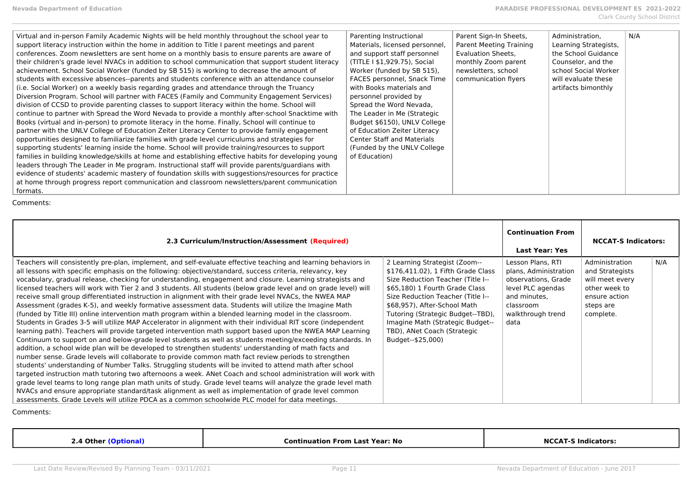| Virtual and in-person Family Academic Nights will be held monthly throughout the school year to<br>support literacy instruction within the home in addition to Title I parent meetings and parent<br>conferences. Zoom newsletters are sent home on a monthly basis to ensure parents are aware of<br>their children's grade level NVACs in addition to school communication that support student literacy<br>achievement. School Social Worker (funded by SB 515) is working to decrease the amount of<br>students with excessive absences--parents and students conference with an attendance counselor<br>(i.e. Social Worker) on a weekly basis regarding grades and attendance through the Truancy<br>Diversion Program. School will partner with FACES (Family and Community Engagement Services)<br>division of CCSD to provide parenting classes to support literacy within the home. School will<br>continue to partner with Spread the Word Nevada to provide a monthly after-school Snacktime with<br>Books (virtual and in-person) to promote literacy in the home. Finally, School will continue to<br>partner with the UNLV College of Education Zeiter Literacy Center to provide family engagement<br>opportunities designed to familiarize families with grade level curriculums and strategies for<br>supporting students' learning inside the home. School will provide training/resources to support<br>families in building knowledge/skills at home and establishing effective habits for developing young<br>leaders through The Leader in Me program. Instructional staff will provide parents/guardians with<br>evidence of students' academic mastery of foundation skills with suggestions/resources for practice<br>at home through progress report communication and classroom newsletters/parent communication<br>formats. | Parenting Instructional<br>Materials, licensed personnel,<br>and support staff personnel<br>(TITLE I \$1,929.75), Social<br>Worker (funded by SB 515),<br>FACES personnel, Snack Time<br>with Books materials and<br>personnel provided by<br>Spread the Word Nevada,<br>The Leader in Me (Strategic<br>Budget \$6150), UNLV College<br>of Education Zeiter Literacy<br><b>Center Staff and Materials</b><br>(Funded by the UNLV College)<br>of Education) | Parent Sign-In Sheets,<br>Parent Meeting Training<br>Evaluation Sheets.<br>monthly Zoom parent<br>newsletters, school<br>communication flyers | Administration.<br>Learning Strategists,<br>the School Guidance<br>Counselor, and the<br>school Social Worker<br>will evaluate these<br>artifacts bimonthly | N/A |
|----------------------------------------------------------------------------------------------------------------------------------------------------------------------------------------------------------------------------------------------------------------------------------------------------------------------------------------------------------------------------------------------------------------------------------------------------------------------------------------------------------------------------------------------------------------------------------------------------------------------------------------------------------------------------------------------------------------------------------------------------------------------------------------------------------------------------------------------------------------------------------------------------------------------------------------------------------------------------------------------------------------------------------------------------------------------------------------------------------------------------------------------------------------------------------------------------------------------------------------------------------------------------------------------------------------------------------------------------------------------------------------------------------------------------------------------------------------------------------------------------------------------------------------------------------------------------------------------------------------------------------------------------------------------------------------------------------------------------------------------------------------------------------------------------------------------------------------------------------|------------------------------------------------------------------------------------------------------------------------------------------------------------------------------------------------------------------------------------------------------------------------------------------------------------------------------------------------------------------------------------------------------------------------------------------------------------|-----------------------------------------------------------------------------------------------------------------------------------------------|-------------------------------------------------------------------------------------------------------------------------------------------------------------|-----|
|----------------------------------------------------------------------------------------------------------------------------------------------------------------------------------------------------------------------------------------------------------------------------------------------------------------------------------------------------------------------------------------------------------------------------------------------------------------------------------------------------------------------------------------------------------------------------------------------------------------------------------------------------------------------------------------------------------------------------------------------------------------------------------------------------------------------------------------------------------------------------------------------------------------------------------------------------------------------------------------------------------------------------------------------------------------------------------------------------------------------------------------------------------------------------------------------------------------------------------------------------------------------------------------------------------------------------------------------------------------------------------------------------------------------------------------------------------------------------------------------------------------------------------------------------------------------------------------------------------------------------------------------------------------------------------------------------------------------------------------------------------------------------------------------------------------------------------------------------------|------------------------------------------------------------------------------------------------------------------------------------------------------------------------------------------------------------------------------------------------------------------------------------------------------------------------------------------------------------------------------------------------------------------------------------------------------------|-----------------------------------------------------------------------------------------------------------------------------------------------|-------------------------------------------------------------------------------------------------------------------------------------------------------------|-----|

| 2.3 Curriculum/Instruction/Assessment (Required)                                                                                                                                                                                                                                                                                                                                                                                                                                                                                                                                                                                                                                                                                                                                                                                                                                                                                                                                                                                                                                                                                                                                                                                                                                                                                                                                                                                                                                                                                                                                                                                                                                                                                                                                                                                                                                                                   |                                                                                                                                                                                                                                                                                                                                              | <b>Continuation From</b><br><b>Last Year: Yes</b>                                                                                                | <b>NCCAT-S Indicators:</b>                                                                                       |     |
|--------------------------------------------------------------------------------------------------------------------------------------------------------------------------------------------------------------------------------------------------------------------------------------------------------------------------------------------------------------------------------------------------------------------------------------------------------------------------------------------------------------------------------------------------------------------------------------------------------------------------------------------------------------------------------------------------------------------------------------------------------------------------------------------------------------------------------------------------------------------------------------------------------------------------------------------------------------------------------------------------------------------------------------------------------------------------------------------------------------------------------------------------------------------------------------------------------------------------------------------------------------------------------------------------------------------------------------------------------------------------------------------------------------------------------------------------------------------------------------------------------------------------------------------------------------------------------------------------------------------------------------------------------------------------------------------------------------------------------------------------------------------------------------------------------------------------------------------------------------------------------------------------------------------|----------------------------------------------------------------------------------------------------------------------------------------------------------------------------------------------------------------------------------------------------------------------------------------------------------------------------------------------|--------------------------------------------------------------------------------------------------------------------------------------------------|------------------------------------------------------------------------------------------------------------------|-----|
| Teachers will consistently pre-plan, implement, and self-evaluate effective teaching and learning behaviors in<br>all lessons with specific emphasis on the following: objective/standard, success criteria, relevancy, key<br>vocabulary, gradual release, checking for understanding, engagement and closure. Learning strategists and<br>licensed teachers will work with Tier 2 and 3 students. All students (below grade level and on grade level) will<br>receive small group differentiated instruction in alignment with their grade level NVACs, the NWEA MAP<br>Assessment (grades K-5), and weekly formative assessment data. Students will utilize the Imagine Math<br>(funded by Title III) online intervention math program within a blended learning model in the classroom.<br>Students in Grades 3-5 will utilize MAP Accelerator in alignment with their individual RIT score (independent<br>learning path). Teachers will provide targeted intervention math support based upon the NWEA MAP Learning<br>Continuum to support on and below-grade level students as well as students meeting/exceeding standards. In<br>addition, a school wide plan will be developed to strengthen students' understanding of math facts and<br>number sense. Grade levels will collaborate to provide common math fact review periods to strengthen<br>students' understanding of Number Talks. Struggling students will be invited to attend math after school<br>targeted instruction math tutoring two afternoons a week. ANet Coach and school administration will work with<br>grade level teams to long range plan math units of study. Grade level teams will analyze the grade level math<br>NVACs and ensure appropriate standard/task alignment as well as implementation of grade level common<br>assessments. Grade Levels will utilize PDCA as a common schoolwide PLC model for data meetings. | 2 Learning Strategist (Zoom--<br>\$176,411.02), 1 Fifth Grade Class<br>Size Reduction Teacher (Title I--<br>\$65,180) 1 Fourth Grade Class<br>Size Reduction Teacher (Title I--<br>\$68,957), After-School Math<br>Tutoring (Strategic Budget--TBD),<br>Imagine Math (Strategic Budget--<br>TBD), ANet Coach (Strategic<br>Budget--\$25,000) | Lesson Plans, RTI<br>plans, Administration<br>observations, Grade<br>level PLC agendas<br>and minutes.<br>classroom<br>walkthrough trend<br>data | Administration<br>and Strategists<br>will meet every<br>other week to<br>ensure action<br>steps are<br>complete. | N/A |

| . Other.<br>. | Year: No<br>Continuation<br>-rom<br>Last | NC.<br>:ators:<br>. INAIC |
|---------------|------------------------------------------|---------------------------|
|               |                                          |                           |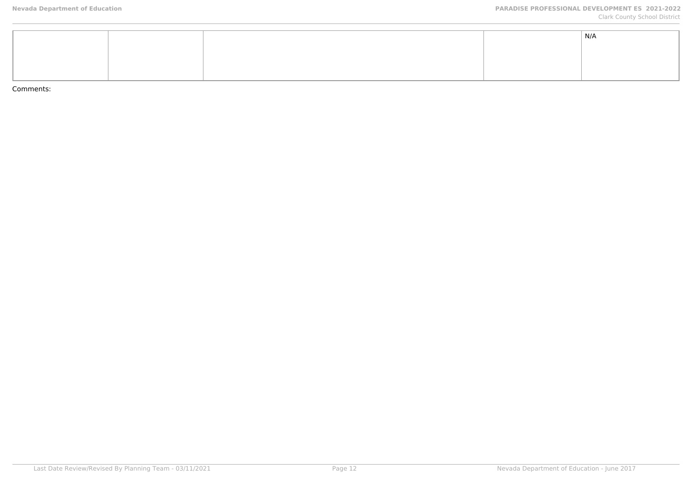|  |  | N/A |
|--|--|-----|
|  |  |     |
|  |  |     |
|  |  |     |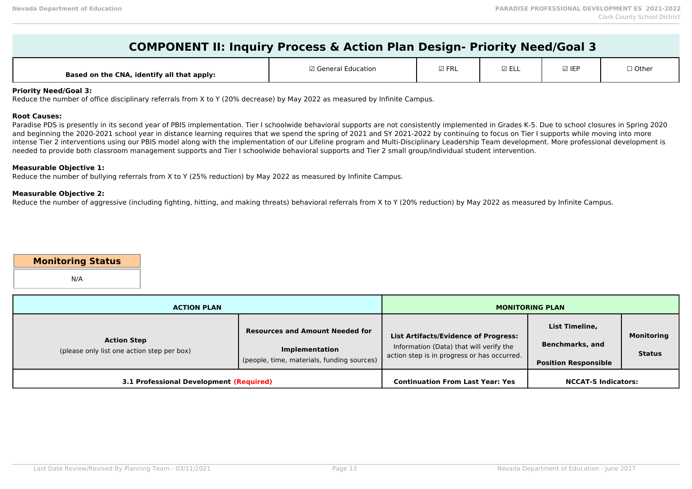| Based on the CNA, identify all that apply: | General Education | $\boxdot$ FRL | $- -$<br>YELL | $\boxtimes$ IEF | 1 Other |
|--------------------------------------------|-------------------|---------------|---------------|-----------------|---------|
|--------------------------------------------|-------------------|---------------|---------------|-----------------|---------|

## **Priority Need/Goal 3:**

Reduce the number of office disciplinary referrals from X to Y (20% decrease) by May 2022 as measured by Infinite Campus.

#### **Root Causes:**

Paradise PDS is presently in its second year of PBIS implementation. Tier I schoolwide behavioral supports are not consistently implemented in Grades K-5. Due to school closures in Spring 2020 and beginning the 2020-2021 school year in distance learning requires that we spend the spring of 2021 and SY 2021-2022 by continuing to focus on Tier I supports while moving into more intense Tier 2 interventions using our PBIS model along with the implementation of our Lifeline program and Multi-Disciplinary Leadership Team development. More professional development is needed to provide both classroom management supports and Tier I schoolwide behavioral supports and Tier 2 small group/individual student intervention.

#### **Measurable Objective 1:**

Reduce the number of bullying referrals from X to Y (25% reduction) by May 2022 as measured by Infinite Campus.

## **Measurable Objective 2:**

Reduce the number of aggressive (including fighting, hitting, and making threats) behavioral referrals from X to Y (20% reduction) by May 2022 as measured by Infinite Campus.

## **Monitoring Status**

N/A

| <b>ACTION PLAN</b>                                               |                                                                                                               |                                                                                                                                       | <b>MONITORING PLAN</b>                                                  |                             |
|------------------------------------------------------------------|---------------------------------------------------------------------------------------------------------------|---------------------------------------------------------------------------------------------------------------------------------------|-------------------------------------------------------------------------|-----------------------------|
| <b>Action Step</b><br>(please only list one action step per box) | <b>Resources and Amount Needed for</b><br><b>Implementation</b><br>(people, time, materials, funding sources) | <b>List Artifacts/Evidence of Progress:</b><br>Information (Data) that will verify the<br>action step is in progress or has occurred. | List Timeline,<br><b>Benchmarks, and</b><br><b>Position Responsible</b> | Monitoring<br><b>Status</b> |
| 3.1 Professional Development (Required)                          |                                                                                                               | <b>Continuation From Last Year: Yes</b>                                                                                               | <b>NCCAT-S Indicators:</b>                                              |                             |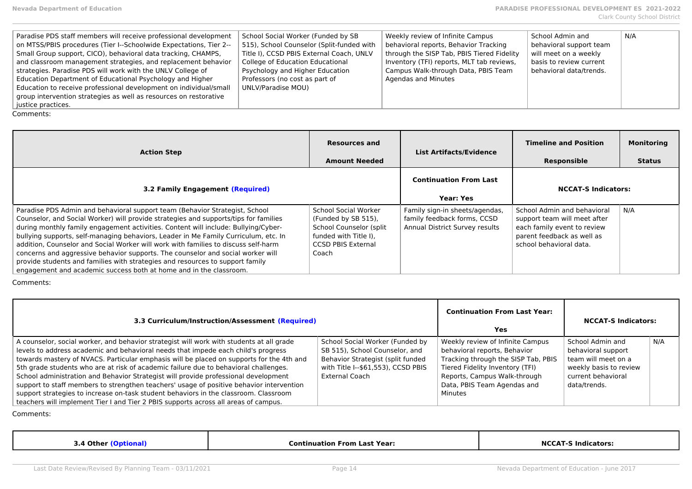| Paradise PDS staff members will receive professional development   | School Social Worker (Funded by SB        | Weekly review of Infinite Campus           | School Admin and        | N/A |
|--------------------------------------------------------------------|-------------------------------------------|--------------------------------------------|-------------------------|-----|
| on MTSS/PBIS procedures (Tier I--Schoolwide Expectations, Tier 2-- | 515), School Counselor (Split-funded with | behavioral reports, Behavior Tracking      | behavioral support team |     |
| Small Group support, CICO), behavioral data tracking, CHAMPS,      | Title I), CCSD PBIS External Coach, UNLV  | through the SISP Tab, PBIS Tiered Fidelity | will meet on a weekly   |     |
| and classroom management strategies, and replacement behavior      | College of Education Educational          | Inventory (TFI) reports, MLT tab reviews,  | basis to review current |     |
| strategies. Paradise PDS will work with the UNLV College of        | Psychology and Higher Education           | Campus Walk-through Data, PBIS Team        | behavioral data/trends. |     |
| Education Department of Educational Psychology and Higher          | Professors (no cost as part of            | Agendas and Minutes                        |                         |     |
| Education to receive professional development on individual/small  | UNLV/Paradise MOU)                        |                                            |                         |     |
| group intervention strategies as well as resources on restorative  |                                           |                                            |                         |     |
| justice practices.                                                 |                                           |                                            |                         |     |
| <b>.</b>                                                           |                                           |                                            |                         |     |

| <b>Action Step</b>                                                                                                                                                                                                                                                                                                                                                                                                                                                                                                                                                                                                                                                               | <b>Resources and</b><br><b>Amount Needed</b>                                                                                          | <b>List Artifacts/Evidence</b>                                                                  | <b>Timeline and Position</b><br>Responsible                                                                                                         | <b>Monitoring</b><br><b>Status</b> |
|----------------------------------------------------------------------------------------------------------------------------------------------------------------------------------------------------------------------------------------------------------------------------------------------------------------------------------------------------------------------------------------------------------------------------------------------------------------------------------------------------------------------------------------------------------------------------------------------------------------------------------------------------------------------------------|---------------------------------------------------------------------------------------------------------------------------------------|-------------------------------------------------------------------------------------------------|-----------------------------------------------------------------------------------------------------------------------------------------------------|------------------------------------|
| <b>3.2 Family Engagement (Required)</b>                                                                                                                                                                                                                                                                                                                                                                                                                                                                                                                                                                                                                                          |                                                                                                                                       | <b>Continuation From Last</b><br><b>Year: Yes</b>                                               | <b>NCCAT-S Indicators:</b>                                                                                                                          |                                    |
| Paradise PDS Admin and behavioral support team (Behavior Strategist, School<br>Counselor, and Social Worker) will provide strategies and supports/tips for families<br>during monthly family engagement activities. Content will include: Bullying/Cyber-<br>bullying supports, self-managing behaviors, Leader in Me Family Curriculum, etc. In<br>addition, Counselor and Social Worker will work with families to discuss self-harm<br>concerns and aggressive behavior supports. The counselor and social worker will<br>provide students and families with strategies and resources to support family<br>engagement and academic success both at home and in the classroom. | School Social Worker<br>(Funded by SB 515),<br>School Counselor (split<br>funded with Title I).<br><b>CCSD PBIS External</b><br>Coach | Family sign-in sheets/agendas,<br>family feedback forms, CCSD<br>Annual District Survey results | School Admin and behavioral<br>support team will meet after<br>each family event to review<br>parent feedback as well as<br>school behavioral data. | N/A                                |

Comments:

| 3.3 Curriculum/Instruction/Assessment (Required)                                                                                                                                                                                                                                                                                                                                                                                                                                                                                                                                                                                                                                                                                    |                                                                                                                                                                       | <b>Continuation From Last Year:</b><br>Yes                                                                                                                                                                           | <b>NCCAT-S Indicators:</b>                                                                                                    |     |
|-------------------------------------------------------------------------------------------------------------------------------------------------------------------------------------------------------------------------------------------------------------------------------------------------------------------------------------------------------------------------------------------------------------------------------------------------------------------------------------------------------------------------------------------------------------------------------------------------------------------------------------------------------------------------------------------------------------------------------------|-----------------------------------------------------------------------------------------------------------------------------------------------------------------------|----------------------------------------------------------------------------------------------------------------------------------------------------------------------------------------------------------------------|-------------------------------------------------------------------------------------------------------------------------------|-----|
| A counselor, social worker, and behavior strategist will work with students at all grade<br>levels to address academic and behavioral needs that impede each child's progress<br>towards mastery of NVACS. Particular emphasis will be placed on supports for the 4th and<br>5th grade students who are at risk of academic failure due to behavioral challenges.<br>School administration and Behavior Strategist will provide professional development<br>support to staff members to strengthen teachers' usage of positive behavior intervention<br>support strategies to increase on-task student behaviors in the classroom. Classroom<br>teachers will implement Tier I and Tier 2 PBIS supports across all areas of campus. | School Social Worker (Funded by<br>SB 515), School Counselor, and<br>Behavior Strategist (split funded<br>with Title I--\$61,553), CCSD PBIS<br><b>External Coach</b> | Weekly review of Infinite Campus<br>behavioral reports, Behavior<br>Tracking through the SISP Tab, PBIS<br>Tiered Fidelity Inventory (TFI)<br>Reports, Campus Walk-through<br>Data, PBIS Team Agendas and<br>Minutes | School Admin and<br>behavioral support<br>team will meet on a<br>weekly basis to review<br>current behavioral<br>data/trends. | N/A |

| <b>Othe</b><br>- 21<br>. | Year<br>Continuation<br>1 Las<br>r rol | ALC:<br>ındıca<br>™ators. |
|--------------------------|----------------------------------------|---------------------------|
|                          |                                        |                           |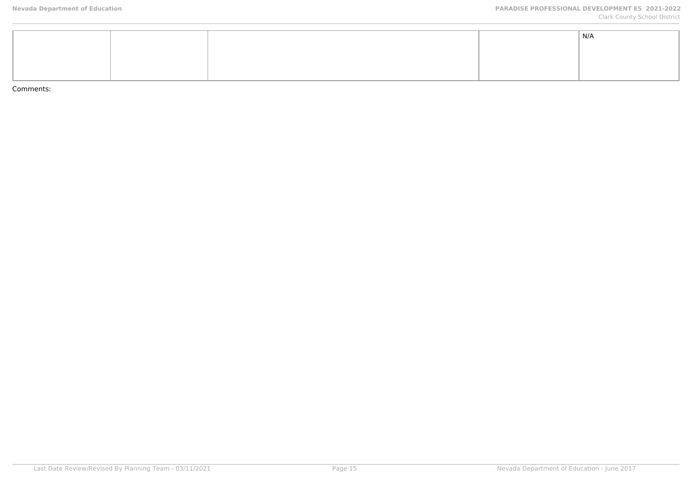|  |  | N/A |
|--|--|-----|
|  |  |     |
|  |  |     |
|  |  |     |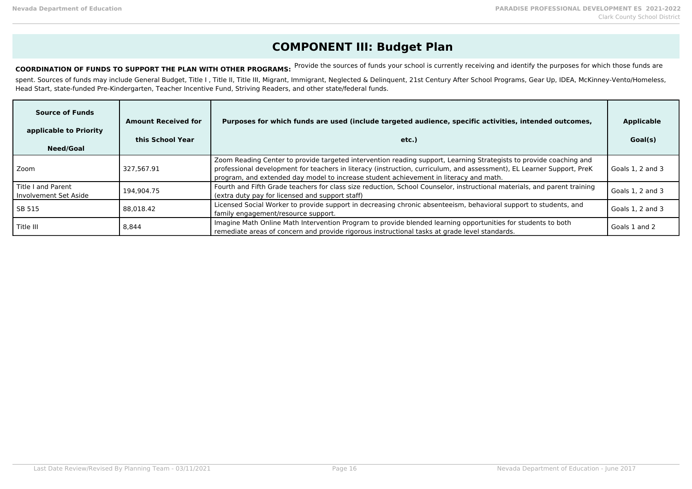# **COMPONENT III: Budget Plan**

COORDINATION OF FUNDS TO SUPPORT THE PLAN WITH OTHER PROGRAMS: Provide the sources of funds your school is currently receiving and identify the purposes for which those funds are

spent. Sources of funds may include General Budget, Title I, Title II, Title III, Migrant, Immigrant, Neglected & Delinquent, 21st Century After School Programs, Gear Up, IDEA, McKinney-Vento/Homeless, Head Start, state-funded Pre-Kindergarten, Teacher Incentive Fund, Striving Readers, and other state/federal funds.

| <b>Source of Funds</b><br>applicable to Priority<br>Need/Goal | <b>Amount Received for</b><br>this School Year | Purposes for which funds are used (include targeted audience, specific activities, intended outcomes,<br>etc.)                                                                                                                                                                                                                       | <b>Applicable</b><br>Goal(s) |
|---------------------------------------------------------------|------------------------------------------------|--------------------------------------------------------------------------------------------------------------------------------------------------------------------------------------------------------------------------------------------------------------------------------------------------------------------------------------|------------------------------|
| l Zoom                                                        | 327.567.91                                     | Zoom Reading Center to provide targeted intervention reading support, Learning Strategists to provide coaching and<br>professional development for teachers in literacy (instruction, curriculum, and assessment), EL Learner Support, PreK<br>program, and extended day model to increase student achievement in literacy and math. | Goals 1, 2 and 3             |
| l Title I and Parent<br>LInvolvement Set Aside                | 194.904.75                                     | Fourth and Fifth Grade teachers for class size reduction, School Counselor, instructional materials, and parent training<br>(extra duty pay for licensed and support staff)                                                                                                                                                          | Goals 1, 2 and 3             |
| l SB 515                                                      | 88.018.42                                      | Licensed Social Worker to provide support in decreasing chronic absenteeism, behavioral support to students, and<br>family engagement/resource support.                                                                                                                                                                              | Goals 1, 2 and 3             |
| l Title III                                                   | 8.844                                          | Imagine Math Online Math Intervention Program to provide blended learning opportunities for students to both<br>remediate areas of concern and provide rigorous instructional tasks at grade level standards.                                                                                                                        | Goals 1 and 2                |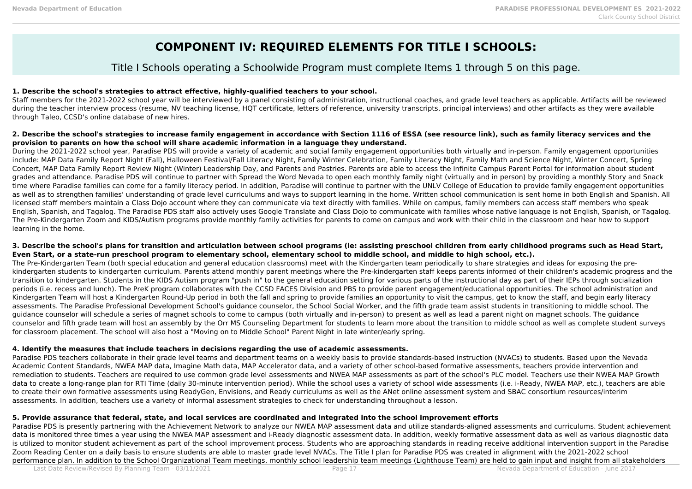# **COMPONENT IV: REQUIRED ELEMENTS FOR TITLE I SCHOOLS:**

# Title I Schools operating a Schoolwide Program must complete Items 1 through 5 on this page.

# **1. Describe the school's strategies to attract effective, highly-qualified teachers to your school.**

Staff members for the 2021-2022 school year will be interviewed by a panel consisting of administration, instructional coaches, and grade level teachers as applicable. Artifacts will be reviewed during the teacher interview process (resume, NV teaching license, HQT certificate, letters of reference, university transcripts, principal interviews) and other artifacts as they were available through Taleo, CCSD's online database of new hires.

## **2. Describe the school's strategies to increase family engagement in accordance with Section 1116 of ESSA (see resource link), such as family literacy services and the provision to parents on how the school will share academic information in a language they understand.**

During the 2021-2022 school year, Paradise PDS will provide a variety of academic and social family engagement opportunities both virtually and in-person. Family engagement opportunities include: MAP Data Family Report Night (Fall), Halloween Festival/Fall Literacy Night, Family Winter Celebration, Family Literacy Night, Family Math and Science Night, Winter Concert, Spring Concert, MAP Data Family Report Review Night (Winter) Leadership Day, and Parents and Pastries. Parents are able to access the Infinite Campus Parent Portal for information about student grades and attendance. Paradise PDS will continue to partner with Spread the Word Nevada to open each monthly family night (virtually and in person) by providing a monthly Story and Snack time where Paradise families can come for a family literacy period. In addition, Paradise will continue to partner with the UNLV College of Education to provide family engagement opportunities as well as to strengthen families' understanding of grade level curriculums and ways to support learning in the home. Written school communication is sent home in both English and Spanish. All licensed staff members maintain a Class Dojo account where they can communicate via text directly with families. While on campus, family members can access staff members who speak English, Spanish, and Tagalog. The Paradise PDS staff also actively uses Google Translate and Class Dojo to communicate with families whose native language is not English, Spanish, or Tagalog. The Pre-Kindergarten Zoom and KIDS/Autism programs provide monthly family activities for parents to come on campus and work with their child in the classroom and hear how to support learning in the home.

## **3. Describe the school's plans for transition and articulation between school programs (ie: assisting preschool children from early childhood programs such as Head Start, Even Start, or a state-run preschool program to elementary school, elementary school to middle school, and middle to high school, etc.).**

The Pre-Kindergarten Team (both special education and general education classrooms) meet with the Kindergarten team periodically to share strategies and ideas for exposing the prekindergarten students to kindergarten curriculum. Parents attend monthly parent meetings where the Pre-kindergarten staff keeps parents informed of their children's academic progress and the transition to kindergarten. Students in the KIDS Autism program "push in" to the general education setting for various parts of the instructional day as part of their IEPs through socialization periods (i.e. recess and lunch). The PreK program collaborates with the CCSD FACES Division and PBS to provide parent engagement/educational opportunities. The school administration and Kindergarten Team will host a Kindergarten Round-Up period in both the fall and spring to provide families an opportunity to visit the campus, get to know the staff, and begin early literacy assessments. The Paradise Professional Development School's guidance counselor, the School Social Worker, and the fifth grade team assist students in transitioning to middle school. The guidance counselor will schedule a series of magnet schools to come to campus (both virtually and in-person) to present as well as lead a parent night on magnet schools. The guidance counselor and fifth grade team will host an assembly by the Orr MS Counseling Department for students to learn more about the transition to middle school as well as complete student surveys for classroom placement. The school will also host a "Moving on to Middle School" Parent Night in late winter/early spring.

## **4. Identify the measures that include teachers in decisions regarding the use of academic assessments.**

Paradise PDS teachers collaborate in their grade level teams and department teams on a weekly basis to provide standards-based instruction (NVACs) to students. Based upon the Nevada Academic Content Standards, NWEA MAP data, Imagine Math data, MAP Accelerator data, and a variety of other school-based formative assessments, teachers provide intervention and remediation to students. Teachers are required to use common grade level assessments and NWEA MAP assessments as part of the school's PLC model. Teachers use their NWEA MAP Growth data to create a long-range plan for RTI Time (daily 30-minute intervention period). While the school uses a variety of school wide assessments (i.e. i-Ready, NWEA MAP, etc.), teachers are able to create their own formative assessments using ReadyGen, Envisions, and Ready curriculums as well as the ANet online assessment system and SBAC consortium resources/interim assessments. In addition, teachers use a variety of informal assessment strategies to check for understanding throughout a lesson.

# **5. Provide assurance that federal, state, and local services are coordinated and integrated into the school improvement efforts**

Paradise PDS is presently partnering with the Achievement Network to analyze our NWEA MAP assessment data and utilize standards-aligned assessments and curriculums. Student achievement data is monitored three times a year using the NWEA MAP assessment and i-Ready diagnostic assessment data. In addition, weekly formative assessment data as well as various diagnostic data is utilized to monitor student achievement as part of the school improvement process. Students who are approaching standards in reading receive additional intervention support in the Paradise Zoom Reading Center on a daily basis to ensure students are able to master grade level NVACs. The Title I plan for Paradise PDS was created in alignment with the 2021-2022 school performance plan. In addition to the School Organizational Team meetings, monthly school leadership team meetings (Lighthouse Team) are held to gain input and insight from all stakeholders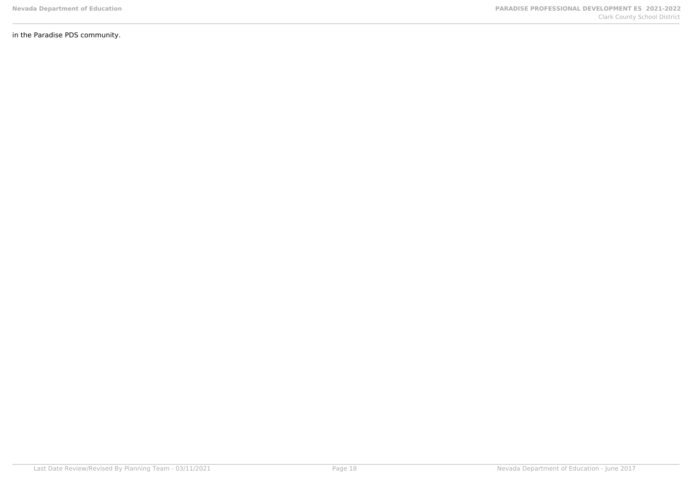in the Paradise PDS community.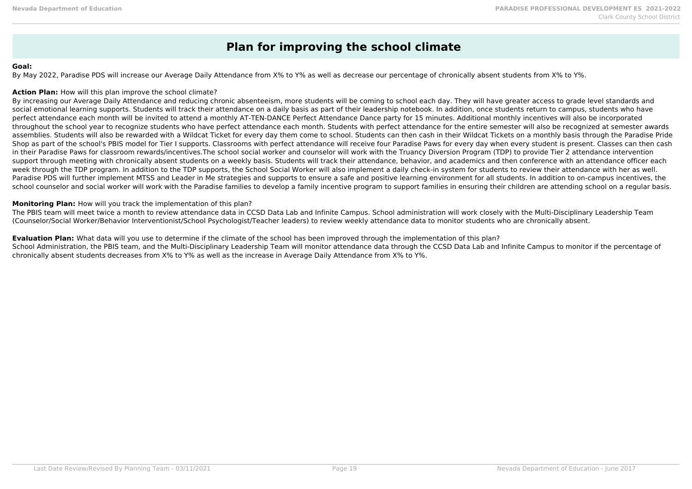# **Plan for improving the school climate**

#### **Goal:**

By May 2022, Paradise PDS will increase our Average Daily Attendance from X% to Y% as well as decrease our percentage of chronically absent students from X% to Y%.

### **Action Plan:** How will this plan improve the school climate?

By increasing our Average Daily Attendance and reducing chronic absenteeism, more students will be coming to school each day. They will have greater access to grade level standards and social emotional learning supports. Students will track their attendance on a daily basis as part of their leadership notebook. In addition, once students return to campus, students who have perfect attendance each month will be invited to attend a monthly AT-TEN-DANCE Perfect Attendance Dance party for 15 minutes. Additional monthly incentives will also be incorporated throughout the school year to recognize students who have perfect attendance each month. Students with perfect attendance for the entire semester will also be recognized at semester awards assemblies. Students will also be rewarded with a Wildcat Ticket for every day them come to school. Students can then cash in their Wildcat Tickets on a monthly basis through the Paradise Pride Shop as part of the school's PBIS model for Tier I supports. Classrooms with perfect attendance will receive four Paradise Paws for every day when every student is present. Classes can then cash in their Paradise Paws for classroom rewards/incentives.The school social worker and counselor will work with the Truancy Diversion Program (TDP) to provide Tier 2 attendance intervention support through meeting with chronically absent students on a weekly basis. Students will track their attendance, behavior, and academics and then conference with an attendance officer each week through the TDP program. In addition to the TDP supports, the School Social Worker will also implement a daily check-in system for students to review their attendance with her as well. Paradise PDS will further implement MTSS and Leader in Me strategies and supports to ensure a safe and positive learning environment for all students. In addition to on-campus incentives, the school counselor and social worker will work with the Paradise families to develop a family incentive program to support families in ensuring their children are attending school on a regular basis.

### **Monitoring Plan:** How will you track the implementation of this plan?

The PBIS team will meet twice a month to review attendance data in CCSD Data Lab and Infinite Campus. School administration will work closely with the Multi-Disciplinary Leadership Team (Counselor/Social Worker/Behavior Interventionist/School Psychologist/Teacher leaders) to review weekly attendance data to monitor students who are chronically absent.

#### **Evaluation Plan:** What data will you use to determine if the climate of the school has been improved through the implementation of this plan?

School Administration, the PBIS team, and the Multi-Disciplinary Leadership Team will monitor attendance data through the CCSD Data Lab and Infinite Campus to monitor if the percentage of chronically absent students decreases from X% to Y% as well as the increase in Average Daily Attendance from X% to Y%.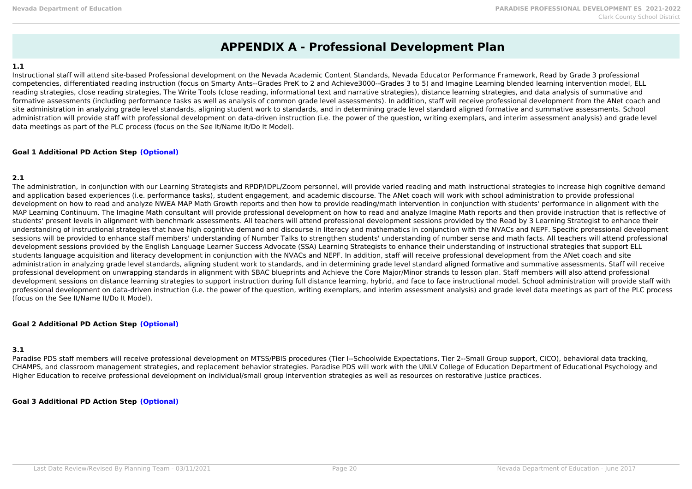# **APPENDIX A - Professional Development Plan**

### **1.1**

Instructional staff will attend site-based Professional development on the Nevada Academic Content Standards, Nevada Educator Performance Framework, Read by Grade 3 professional competencies, differentiated reading instruction (focus on Smarty Ants--Grades PreK to 2 and Achieve3000--Grades 3 to 5) and Imagine Learning blended learning intervention model, ELL reading strategies, close reading strategies, The Write Tools (close reading, informational text and narrative strategies), distance learning strategies, and data analysis of summative and formative assessments (including performance tasks as well as analysis of common grade level assessments). In addition, staff will receive professional development from the ANet coach and site administration in analyzing grade level standards, aligning student work to standards, and in determining grade level standard aligned formative and summative assessments. School administration will provide staff with professional development on data-driven instruction (i.e. the power of the question, writing exemplars, and interim assessment analysis) and grade level data meetings as part of the PLC process (focus on the See It/Name It/Do It Model).

### **Goal 1 Additional PD Action Step (Optional)**

## **2.1**

The administration, in conjunction with our Learning Strategists and RPDP/IDPL/Zoom personnel, will provide varied reading and math instructional strategies to increase high cognitive demand and application based experiences (i.e. performance tasks), student engagement, and academic discourse. The ANet coach will work with school administration to provide professional development on how to read and analyze NWEA MAP Math Growth reports and then how to provide reading/math intervention in conjunction with students' performance in alignment with the MAP Learning Continuum. The Imagine Math consultant will provide professional development on how to read and analyze Imagine Math reports and then provide instruction that is reflective of students' present levels in alignment with benchmark assessments. All teachers will attend professional development sessions provided by the Read by 3 Learning Strategist to enhance their understanding of instructional strategies that have high cognitive demand and discourse in literacy and mathematics in conjunction with the NVACs and NEPF. Specific professional development sessions will be provided to enhance staff members' understanding of Number Talks to strengthen students' understanding of number sense and math facts. All teachers will attend professional development sessions provided by the English Language Learner Success Advocate (SSA) Learning Strategists to enhance their understanding of instructional strategies that support ELL students language acquisition and literacy development in conjunction with the NVACs and NEPF. In addition, staff will receive professional development from the ANet coach and site administration in analyzing grade level standards, aligning student work to standards, and in determining grade level standard aligned formative and summative assessments. Staff will receive professional development on unwrapping standards in alignment with SBAC blueprints and Achieve the Core Major/Minor strands to lesson plan. Staff members will also attend professional development sessions on distance learning strategies to support instruction during full distance learning, hybrid, and face to face instructional model. School administration will provide staff with professional development on data-driven instruction (i.e. the power of the question, writing exemplars, and interim assessment analysis) and grade level data meetings as part of the PLC process (focus on the See It/Name It/Do It Model).

## **Goal 2 Additional PD Action Step (Optional)**

## **3.1**

Paradise PDS staff members will receive professional development on MTSS/PBIS procedures (Tier I--Schoolwide Expectations, Tier 2--Small Group support, CICO), behavioral data tracking, CHAMPS, and classroom management strategies, and replacement behavior strategies. Paradise PDS will work with the UNLV College of Education Department of Educational Psychology and Higher Education to receive professional development on individual/small group intervention strategies as well as resources on restorative justice practices.

## **Goal 3 Additional PD Action Step (Optional)**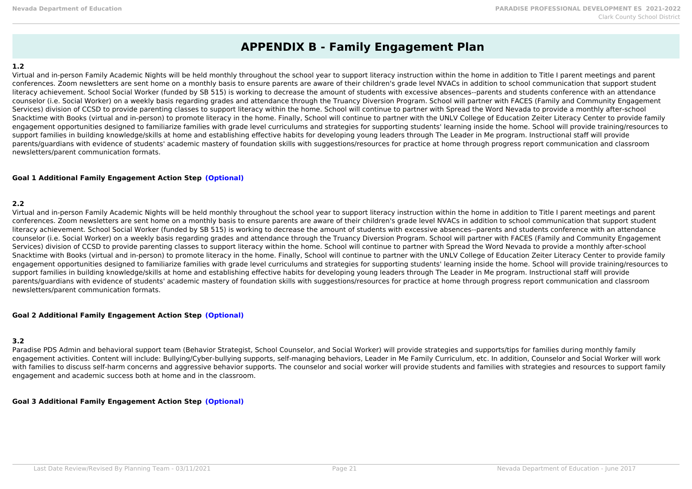# **APPENDIX B - Family Engagement Plan**

### **1.2**

Virtual and in-person Family Academic Nights will be held monthly throughout the school year to support literacy instruction within the home in addition to Title I parent meetings and parent conferences. Zoom newsletters are sent home on a monthly basis to ensure parents are aware of their children's grade level NVACs in addition to school communication that support student literacy achievement. School Social Worker (funded by SB 515) is working to decrease the amount of students with excessive absences--parents and students conference with an attendance counselor (i.e. Social Worker) on a weekly basis regarding grades and attendance through the Truancy Diversion Program. School will partner with FACES (Family and Community Engagement Services) division of CCSD to provide parenting classes to support literacy within the home. School will continue to partner with Spread the Word Nevada to provide a monthly after-school Snacktime with Books (virtual and in-person) to promote literacy in the home. Finally, School will continue to partner with the UNLV College of Education Zeiter Literacy Center to provide family engagement opportunities designed to familiarize families with grade level curriculums and strategies for supporting students' learning inside the home. School will provide training/resources to support families in building knowledge/skills at home and establishing effective habits for developing young leaders through The Leader in Me program. Instructional staff will provide parents/guardians with evidence of students' academic mastery of foundation skills with suggestions/resources for practice at home through progress report communication and classroom newsletters/parent communication formats.

### **Goal 1 Additional Family Engagement Action Step (Optional)**

## **2.2**

Virtual and in-person Family Academic Nights will be held monthly throughout the school year to support literacy instruction within the home in addition to Title I parent meetings and parent conferences. Zoom newsletters are sent home on a monthly basis to ensure parents are aware of their children's grade level NVACs in addition to school communication that support student literacy achievement. School Social Worker (funded by SB 515) is working to decrease the amount of students with excessive absences--parents and students conference with an attendance counselor (i.e. Social Worker) on a weekly basis regarding grades and attendance through the Truancy Diversion Program. School will partner with FACES (Family and Community Engagement Services) division of CCSD to provide parenting classes to support literacy within the home. School will continue to partner with Spread the Word Nevada to provide a monthly after-school Snacktime with Books (virtual and in-person) to promote literacy in the home. Finally, School will continue to partner with the UNLV College of Education Zeiter Literacy Center to provide family engagement opportunities designed to familiarize families with grade level curriculums and strategies for supporting students' learning inside the home. School will provide training/resources to support families in building knowledge/skills at home and establishing effective habits for developing young leaders through The Leader in Me program. Instructional staff will provide parents/guardians with evidence of students' academic mastery of foundation skills with suggestions/resources for practice at home through progress report communication and classroom newsletters/parent communication formats.

## **Goal 2 Additional Family Engagement Action Step (Optional)**

## **3.2**

Paradise PDS Admin and behavioral support team (Behavior Strategist, School Counselor, and Social Worker) will provide strategies and supports/tips for families during monthly family engagement activities. Content will include: Bullying/Cyber-bullying supports, self-managing behaviors, Leader in Me Family Curriculum, etc. In addition, Counselor and Social Worker will work with families to discuss self-harm concerns and aggressive behavior supports. The counselor and social worker will provide students and families with strategies and resources to support family engagement and academic success both at home and in the classroom.

**Goal 3 Additional Family Engagement Action Step (Optional)**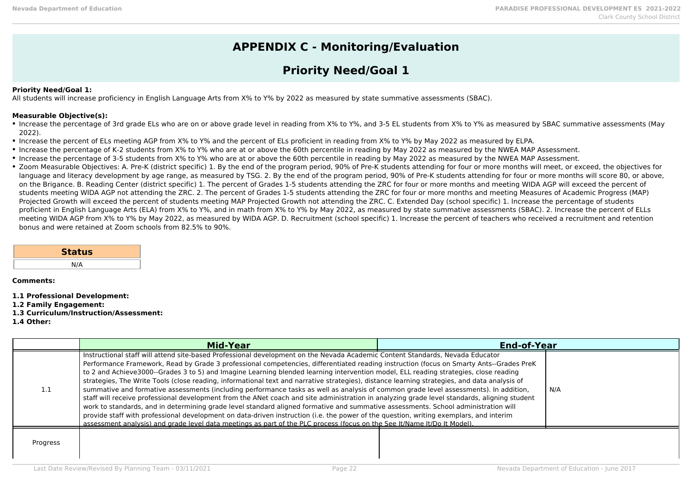# **APPENDIX C - Monitoring/Evaluation**

# **Priority Need/Goal 1**

## **Priority Need/Goal 1:**

All students will increase proficiency in English Language Arts from X% to Y% by 2022 as measured by state summative assessments (SBAC).

### **Measurable Objective(s):**

Increase the percentage of 3rd grade ELs who are on or above grade level in reading from X% to Y%, and 3-5 EL students from X% to Y% as measured by SBAC summative assessments (May 2022).

- Increase the percent of ELs meeting AGP from X% to Y% and the percent of ELs proficient in reading from X% to Y% by May 2022 as measured by ELPA.
- Increase the percentage of K-2 students from X% to Y% who are at or above the 60th percentile in reading by May 2022 as measured by the NWEA MAP Assessment.
- Increase the percentage of 3-5 students from X% to Y% who are at or above the 60th percentile in reading by May 2022 as measured by the NWEA MAP Assessment.
- Zoom Measurable Objectives: A. Pre-K (district specific) 1. By the end of the program period, 90% of Pre-K students attending for four or more months will meet, or exceed, the objectives for language and literacy development by age range, as measured by TSG, 2. By the end of the program period, 90% of Pre-K students attending for four or more months will score 80, or above, on the Brigance. B. Reading Center (district specific) 1. The percent of Grades 1-5 students attending the ZRC for four or more months and meeting WIDA AGP will exceed the percent of students meeting WIDA AGP not attending the ZRC. 2. The percent of Grades 1-5 students attending the ZRC for four or more months and meeting Measures of Academic Progress (MAP) Projected Growth will exceed the percent of students meeting MAP Projected Growth not attending the ZRC. C. Extended Day (school specific) 1. Increase the percentage of students proficient in English Language Arts (ELA) from X% to Y%, and in math from X% to Y% by May 2022, as measured by state summative assessments (SBAC). 2. Increase the percent of ELLs meeting WIDA AGP from X% to Y% by May 2022, as measured by WIDA AGP. D. Recruitment (school specific) 1. Increase the percent of teachers who received a recruitment and retention bonus and were retained at Zoom schools from 82.5% to 90%.

| <b>Status</b> |  |
|---------------|--|
| N/A           |  |

**Comments:**

**1.1 Professional Development:**

**1.2 Family Engagement:**

**1.3 Curriculum/Instruction/Assessment:**

**1.4 Other:**

|          | <b>Mid-Year</b>                                                                                                                                                                                                                                                                                                                                                                                                                                                                                                                                                                                                                                                                                                                                                                                                                                                                                                                                                                                                                                                                                                                                                                                                                                                       | <b>End-of-Year</b> |     |
|----------|-----------------------------------------------------------------------------------------------------------------------------------------------------------------------------------------------------------------------------------------------------------------------------------------------------------------------------------------------------------------------------------------------------------------------------------------------------------------------------------------------------------------------------------------------------------------------------------------------------------------------------------------------------------------------------------------------------------------------------------------------------------------------------------------------------------------------------------------------------------------------------------------------------------------------------------------------------------------------------------------------------------------------------------------------------------------------------------------------------------------------------------------------------------------------------------------------------------------------------------------------------------------------|--------------------|-----|
| ı.i      | Instructional staff will attend site-based Professional development on the Nevada Academic Content Standards, Nevada Educator<br>Performance Framework, Read by Grade 3 professional competencies, differentiated reading instruction (focus on Smarty Ants--Grades PreK<br>to 2 and Achieve3000--Grades 3 to 5) and Imagine Learning blended learning intervention model, ELL reading strategies, close reading<br>strategies, The Write Tools (close reading, informational text and narrative strategies), distance learning strategies, and data analysis of<br>summative and formative assessments (including performance tasks as well as analysis of common grade level assessments). In addition,<br>staff will receive professional development from the ANet coach and site administration in analyzing grade level standards, aligning student<br>work to standards, and in determining grade level standard aligned formative and summative assessments. School administration will<br>provide staff with professional development on data-driven instruction (i.e. the power of the question, writing exemplars, and interim<br>assessment analysis) and grade level data meetings as part of the PLC process (focus on the See It/Name It/Do It Model). |                    | N/A |
| Progress |                                                                                                                                                                                                                                                                                                                                                                                                                                                                                                                                                                                                                                                                                                                                                                                                                                                                                                                                                                                                                                                                                                                                                                                                                                                                       |                    |     |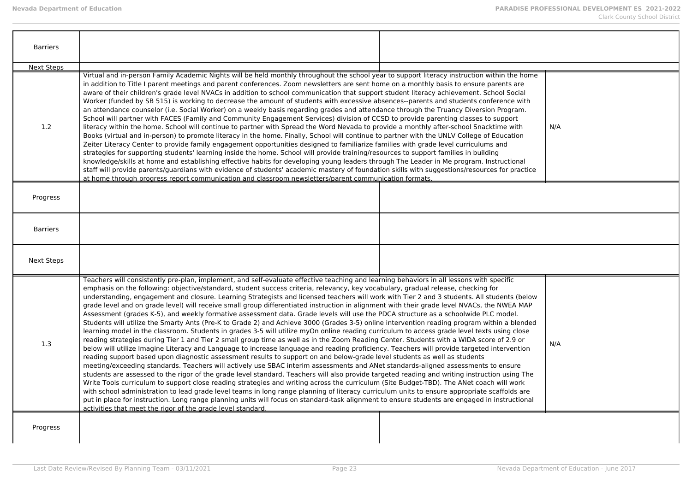| <b>Barriers</b>   |                                                                                                                                                                                                                                                                                                                                                                                                                                                                                                                                                                                                                                                                                                                                                                                                                                                                                                                                                                                                                                                                                                                                                                                                                                                                                                                                                                                                                                                                                                                                                                                                                                                                                                                                                                                                                                                                                                                                                                                                                                                                                                                                                                                                                                          |     |
|-------------------|------------------------------------------------------------------------------------------------------------------------------------------------------------------------------------------------------------------------------------------------------------------------------------------------------------------------------------------------------------------------------------------------------------------------------------------------------------------------------------------------------------------------------------------------------------------------------------------------------------------------------------------------------------------------------------------------------------------------------------------------------------------------------------------------------------------------------------------------------------------------------------------------------------------------------------------------------------------------------------------------------------------------------------------------------------------------------------------------------------------------------------------------------------------------------------------------------------------------------------------------------------------------------------------------------------------------------------------------------------------------------------------------------------------------------------------------------------------------------------------------------------------------------------------------------------------------------------------------------------------------------------------------------------------------------------------------------------------------------------------------------------------------------------------------------------------------------------------------------------------------------------------------------------------------------------------------------------------------------------------------------------------------------------------------------------------------------------------------------------------------------------------------------------------------------------------------------------------------------------------|-----|
| <b>Next Steps</b> |                                                                                                                                                                                                                                                                                                                                                                                                                                                                                                                                                                                                                                                                                                                                                                                                                                                                                                                                                                                                                                                                                                                                                                                                                                                                                                                                                                                                                                                                                                                                                                                                                                                                                                                                                                                                                                                                                                                                                                                                                                                                                                                                                                                                                                          |     |
| 1.2               | Virtual and in-person Family Academic Nights will be held monthly throughout the school year to support literacy instruction within the home<br>in addition to Title I parent meetings and parent conferences. Zoom newsletters are sent home on a monthly basis to ensure parents are<br>aware of their children's grade level NVACs in addition to school communication that support student literacy achievement. School Social<br>Worker (funded by SB 515) is working to decrease the amount of students with excessive absences--parents and students conference with<br>an attendance counselor (i.e. Social Worker) on a weekly basis regarding grades and attendance through the Truancy Diversion Program.<br>School will partner with FACES (Family and Community Engagement Services) division of CCSD to provide parenting classes to support<br>literacy within the home. School will continue to partner with Spread the Word Nevada to provide a monthly after-school Snacktime with<br>Books (virtual and in-person) to promote literacy in the home. Finally, School will continue to partner with the UNLV College of Education<br>Zeiter Literacy Center to provide family engagement opportunities designed to familiarize families with grade level curriculums and<br>strategies for supporting students' learning inside the home. School will provide training/resources to support families in building<br>knowledge/skills at home and establishing effective habits for developing young leaders through The Leader in Me program. Instructional<br>staff will provide parents/quardians with evidence of students' academic mastery of foundation skills with suggestions/resources for practice<br>at home through progress report communication and classroom newsletters/parent communication formats.                                                                                                                                                                                                                                                                                                                                                                                                   | N/A |
| Progress          |                                                                                                                                                                                                                                                                                                                                                                                                                                                                                                                                                                                                                                                                                                                                                                                                                                                                                                                                                                                                                                                                                                                                                                                                                                                                                                                                                                                                                                                                                                                                                                                                                                                                                                                                                                                                                                                                                                                                                                                                                                                                                                                                                                                                                                          |     |
| <b>Barriers</b>   |                                                                                                                                                                                                                                                                                                                                                                                                                                                                                                                                                                                                                                                                                                                                                                                                                                                                                                                                                                                                                                                                                                                                                                                                                                                                                                                                                                                                                                                                                                                                                                                                                                                                                                                                                                                                                                                                                                                                                                                                                                                                                                                                                                                                                                          |     |
| <b>Next Steps</b> |                                                                                                                                                                                                                                                                                                                                                                                                                                                                                                                                                                                                                                                                                                                                                                                                                                                                                                                                                                                                                                                                                                                                                                                                                                                                                                                                                                                                                                                                                                                                                                                                                                                                                                                                                                                                                                                                                                                                                                                                                                                                                                                                                                                                                                          |     |
| 1.3               | Teachers will consistently pre-plan, implement, and self-evaluate effective teaching and learning behaviors in all lessons with specific<br>emphasis on the following: objective/standard, student success criteria, relevancy, key vocabulary, gradual release, checking for<br>understanding, engagement and closure. Learning Strategists and licensed teachers will work with Tier 2 and 3 students. All students (below<br>grade level and on grade level) will receive small group differentiated instruction in alignment with their grade level NVACs, the NWEA MAP<br>Assessment (grades K-5), and weekly formative assessment data. Grade levels will use the PDCA structure as a schoolwide PLC model.<br>Students will utilize the Smarty Ants (Pre-K to Grade 2) and Achieve 3000 (Grades 3-5) online intervention reading program within a blended<br>learning model in the classroom. Students in grades 3-5 will utilize myOn online reading curriculum to access grade level texts using close<br>reading strategies during Tier 1 and Tier 2 small group time as well as in the Zoom Reading Center. Students with a WIDA score of 2.9 or<br>below will utilize Imagine Literacy and Language to increase language and reading proficiency. Teachers will provide targeted intervention<br>reading support based upon diagnostic assessment results to support on and below-grade level students as well as students<br>meeting/exceeding standards. Teachers will actively use SBAC interim assessments and ANet standards-aligned assessments to ensure<br>students are assessed to the rigor of the grade level standard. Teachers will also provide targeted reading and writing instruction using The<br>Write Tools curriculum to support close reading strategies and writing across the curriculum (Site Budget-TBD). The ANet coach will work<br>with school administration to lead grade level teams in long range planning of literacy curriculum units to ensure appropriate scaffolds are<br>put in place for instruction. Long range planning units will focus on standard-task alignment to ensure students are engaged in instructional<br>activities that meet the rigor of the grade level standard. | N/A |
| Progress          |                                                                                                                                                                                                                                                                                                                                                                                                                                                                                                                                                                                                                                                                                                                                                                                                                                                                                                                                                                                                                                                                                                                                                                                                                                                                                                                                                                                                                                                                                                                                                                                                                                                                                                                                                                                                                                                                                                                                                                                                                                                                                                                                                                                                                                          |     |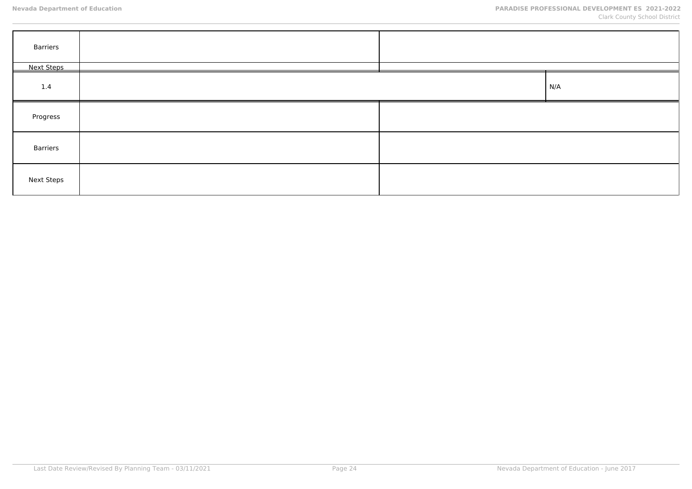| Barriers          |  |     |
|-------------------|--|-----|
| <b>Next Steps</b> |  |     |
| 1.4               |  | N/A |
| Progress          |  |     |
| Barriers          |  |     |
| <b>Next Steps</b> |  |     |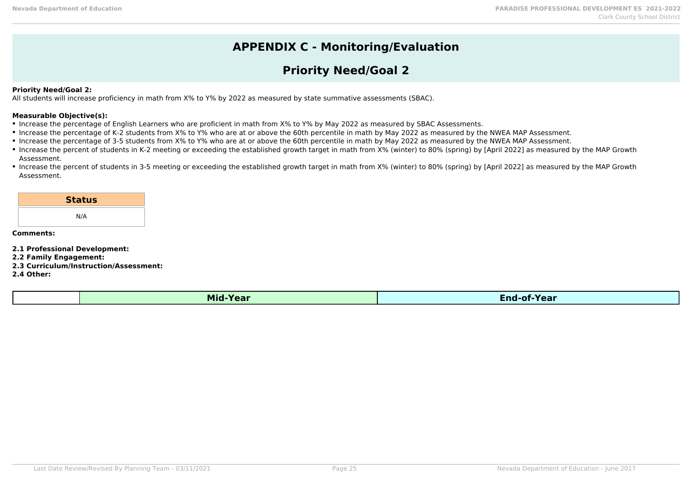# **APPENDIX C - Monitoring/Evaluation**

# **Priority Need/Goal 2**

## **Priority Need/Goal 2:**

All students will increase proficiency in math from X% to Y% by 2022 as measured by state summative assessments (SBAC).

#### **Measurable Objective(s):**

- Increase the percentage of English Learners who are proficient in math from X% to Y% by May 2022 as measured by SBAC Assessments.
- Increase the percentage of K-2 students from X% to Y% who are at or above the 60th percentile in math by May 2022 as measured by the NWEA MAP Assessment.
- Increase the percentage of 3-5 students from X% to Y% who are at or above the 60th percentile in math by May 2022 as measured by the NWEA MAP Assessment.
- Increase the percent of students in K-2 meeting or exceeding the established growth target in math from X% (winter) to 80% (spring) by [April 2022] as measured by the MAP Growth Assessment.
- Increase the percent of students in 3-5 meeting or exceeding the established growth target in math from X% (winter) to 80% (spring) by [April 2022] as measured by the MAP Growth Assessment.

| <b>Status</b> |  |
|---------------|--|
| N/A           |  |

#### **Comments:**

**2.1 Professional Development:**

- **2.2 Family Engagement:**
- **2.3 Curriculum/Instruction/Assessment:**

**2.4 Other:**

|--|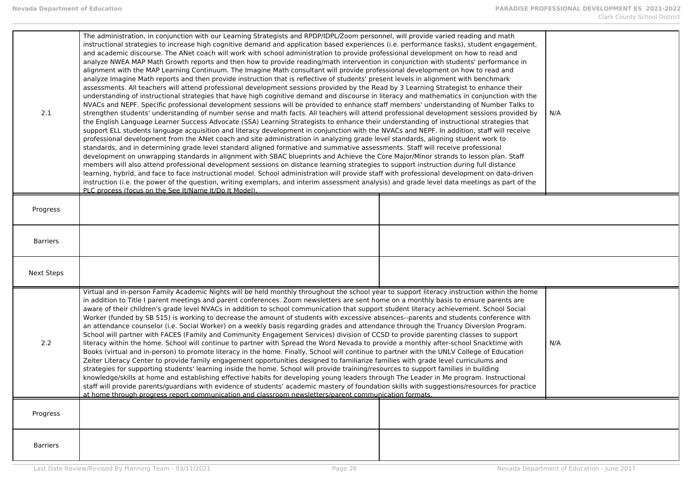| 2.1               | The administration, in conjunction with our Learning Strategists and RPDP/IDPL/Zoom personnel, will provide varied reading and math<br>instructional strategies to increase high cognitive demand and application based experiences (i.e. performance tasks), student engagement,<br>and academic discourse. The ANet coach will work with school administration to provide professional development on how to read and<br>analyze NWEA MAP Math Growth reports and then how to provide reading/math intervention in conjunction with students' performance in<br>alignment with the MAP Learning Continuum. The Imagine Math consultant will provide professional development on how to read and<br>analyze Imagine Math reports and then provide instruction that is reflective of students' present levels in alignment with benchmark<br>assessments. All teachers will attend professional development sessions provided by the Read by 3 Learning Strategist to enhance their<br>understanding of instructional strategies that have high cognitive demand and discourse in literacy and mathematics in conjunction with the<br>NVACs and NEPF. Specific professional development sessions will be provided to enhance staff members' understanding of Number Talks to<br>strengthen students' understanding of number sense and math facts. All teachers will attend professional development sessions provided by<br>the English Language Learner Success Advocate (SSA) Learning Strategists to enhance their understanding of instructional strategies that<br>support ELL students language acquisition and literacy development in conjunction with the NVACs and NEPF. In addition, staff will receive<br>professional development from the ANet coach and site administration in analyzing grade level standards, aligning student work to<br>standards, and in determining grade level standard aligned formative and summative assessments. Staff will receive professional<br>development on unwrapping standards in alignment with SBAC blueprints and Achieve the Core Major/Minor strands to lesson plan. Staff<br>members will also attend professional development sessions on distance learning strategies to support instruction during full distance<br>learning, hybrid, and face to face instructional model. School administration will provide staff with professional development on data-driven<br>instruction (i.e. the power of the question, writing exemplars, and interim assessment analysis) and grade level data meetings as part of the<br>PLC process (focus on the See It/Name It/Do It Model). | N/A |
|-------------------|-------------------------------------------------------------------------------------------------------------------------------------------------------------------------------------------------------------------------------------------------------------------------------------------------------------------------------------------------------------------------------------------------------------------------------------------------------------------------------------------------------------------------------------------------------------------------------------------------------------------------------------------------------------------------------------------------------------------------------------------------------------------------------------------------------------------------------------------------------------------------------------------------------------------------------------------------------------------------------------------------------------------------------------------------------------------------------------------------------------------------------------------------------------------------------------------------------------------------------------------------------------------------------------------------------------------------------------------------------------------------------------------------------------------------------------------------------------------------------------------------------------------------------------------------------------------------------------------------------------------------------------------------------------------------------------------------------------------------------------------------------------------------------------------------------------------------------------------------------------------------------------------------------------------------------------------------------------------------------------------------------------------------------------------------------------------------------------------------------------------------------------------------------------------------------------------------------------------------------------------------------------------------------------------------------------------------------------------------------------------------------------------------------------------------------------------------------------------------------------------------------------------------------------------------------------------------------------------------------------------------------------------|-----|
| Progress          |                                                                                                                                                                                                                                                                                                                                                                                                                                                                                                                                                                                                                                                                                                                                                                                                                                                                                                                                                                                                                                                                                                                                                                                                                                                                                                                                                                                                                                                                                                                                                                                                                                                                                                                                                                                                                                                                                                                                                                                                                                                                                                                                                                                                                                                                                                                                                                                                                                                                                                                                                                                                                                           |     |
| <b>Barriers</b>   |                                                                                                                                                                                                                                                                                                                                                                                                                                                                                                                                                                                                                                                                                                                                                                                                                                                                                                                                                                                                                                                                                                                                                                                                                                                                                                                                                                                                                                                                                                                                                                                                                                                                                                                                                                                                                                                                                                                                                                                                                                                                                                                                                                                                                                                                                                                                                                                                                                                                                                                                                                                                                                           |     |
| <b>Next Steps</b> |                                                                                                                                                                                                                                                                                                                                                                                                                                                                                                                                                                                                                                                                                                                                                                                                                                                                                                                                                                                                                                                                                                                                                                                                                                                                                                                                                                                                                                                                                                                                                                                                                                                                                                                                                                                                                                                                                                                                                                                                                                                                                                                                                                                                                                                                                                                                                                                                                                                                                                                                                                                                                                           |     |
| 2.2               | Virtual and in-person Family Academic Nights will be held monthly throughout the school year to support literacy instruction within the home<br>in addition to Title I parent meetings and parent conferences. Zoom newsletters are sent home on a monthly basis to ensure parents are<br>aware of their children's grade level NVACs in addition to school communication that support student literacy achievement. School Social<br>Worker (funded by SB 515) is working to decrease the amount of students with excessive absences--parents and students conference with<br>an attendance counselor (i.e. Social Worker) on a weekly basis regarding grades and attendance through the Truancy Diversion Program.<br>School will partner with FACES (Family and Community Engagement Services) division of CCSD to provide parenting classes to support<br>literacy within the home. School will continue to partner with Spread the Word Nevada to provide a monthly after-school Snacktime with<br>Books (virtual and in-person) to promote literacy in the home. Finally, School will continue to partner with the UNLV College of Education<br>Zeiter Literacy Center to provide family engagement opportunities designed to familiarize families with grade level curriculums and<br>strategies for supporting students' learning inside the home. School will provide training/resources to support families in building<br>knowledge/skills at home and establishing effective habits for developing young leaders through The Leader in Me program. Instructional<br>staff will provide parents/guardians with evidence of students' academic mastery of foundation skills with suggestions/resources for practice<br>at home through progress report communication and classroom newsletters/parent communication formats.                                                                                                                                                                                                                                                                                                                                                                                                                                                                                                                                                                                                                                                                                                                                                                                                    | N/A |
| Progress          |                                                                                                                                                                                                                                                                                                                                                                                                                                                                                                                                                                                                                                                                                                                                                                                                                                                                                                                                                                                                                                                                                                                                                                                                                                                                                                                                                                                                                                                                                                                                                                                                                                                                                                                                                                                                                                                                                                                                                                                                                                                                                                                                                                                                                                                                                                                                                                                                                                                                                                                                                                                                                                           |     |
| <b>Barriers</b>   |                                                                                                                                                                                                                                                                                                                                                                                                                                                                                                                                                                                                                                                                                                                                                                                                                                                                                                                                                                                                                                                                                                                                                                                                                                                                                                                                                                                                                                                                                                                                                                                                                                                                                                                                                                                                                                                                                                                                                                                                                                                                                                                                                                                                                                                                                                                                                                                                                                                                                                                                                                                                                                           |     |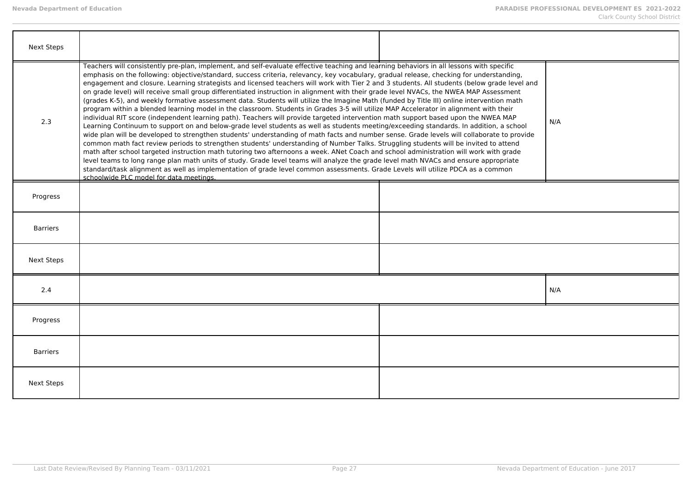| <b>Next Steps</b> |                                                                                                                                                                                                                                                                                                                                                                                                                                                                                                                                                                                                                                                                                                                                                                                                                                                                                                                                                                                                                                                                                                                                                                                                                                                                                                                                                                                                                                                                                                                                                                                                                                                                                                                                                                                                                                                                                                           |     |
|-------------------|-----------------------------------------------------------------------------------------------------------------------------------------------------------------------------------------------------------------------------------------------------------------------------------------------------------------------------------------------------------------------------------------------------------------------------------------------------------------------------------------------------------------------------------------------------------------------------------------------------------------------------------------------------------------------------------------------------------------------------------------------------------------------------------------------------------------------------------------------------------------------------------------------------------------------------------------------------------------------------------------------------------------------------------------------------------------------------------------------------------------------------------------------------------------------------------------------------------------------------------------------------------------------------------------------------------------------------------------------------------------------------------------------------------------------------------------------------------------------------------------------------------------------------------------------------------------------------------------------------------------------------------------------------------------------------------------------------------------------------------------------------------------------------------------------------------------------------------------------------------------------------------------------------------|-----|
| 2.3               | Teachers will consistently pre-plan, implement, and self-evaluate effective teaching and learning behaviors in all lessons with specific<br>emphasis on the following: objective/standard, success criteria, relevancy, key vocabulary, gradual release, checking for understanding,<br>engagement and closure. Learning strategists and licensed teachers will work with Tier 2 and 3 students. All students (below grade level and<br>on grade level) will receive small group differentiated instruction in alignment with their grade level NVACs, the NWEA MAP Assessment<br>(grades K-5), and weekly formative assessment data. Students will utilize the Imagine Math (funded by Title III) online intervention math<br>program within a blended learning model in the classroom. Students in Grades 3-5 will utilize MAP Accelerator in alignment with their<br>individual RIT score (independent learning path). Teachers will provide targeted intervention math support based upon the NWEA MAP<br>Learning Continuum to support on and below-grade level students as well as students meeting/exceeding standards. In addition, a school<br>wide plan will be developed to strengthen students' understanding of math facts and number sense. Grade levels will collaborate to provide<br>common math fact review periods to strengthen students' understanding of Number Talks. Struggling students will be invited to attend<br>math after school targeted instruction math tutoring two afternoons a week. ANet Coach and school administration will work with grade<br>level teams to long range plan math units of study. Grade level teams will analyze the grade level math NVACs and ensure appropriate<br>standard/task alignment as well as implementation of grade level common assessments. Grade Levels will utilize PDCA as a common<br>schoolwide PLC model for data meetings. | N/A |
| Progress          |                                                                                                                                                                                                                                                                                                                                                                                                                                                                                                                                                                                                                                                                                                                                                                                                                                                                                                                                                                                                                                                                                                                                                                                                                                                                                                                                                                                                                                                                                                                                                                                                                                                                                                                                                                                                                                                                                                           |     |
| <b>Barriers</b>   |                                                                                                                                                                                                                                                                                                                                                                                                                                                                                                                                                                                                                                                                                                                                                                                                                                                                                                                                                                                                                                                                                                                                                                                                                                                                                                                                                                                                                                                                                                                                                                                                                                                                                                                                                                                                                                                                                                           |     |
| <b>Next Steps</b> |                                                                                                                                                                                                                                                                                                                                                                                                                                                                                                                                                                                                                                                                                                                                                                                                                                                                                                                                                                                                                                                                                                                                                                                                                                                                                                                                                                                                                                                                                                                                                                                                                                                                                                                                                                                                                                                                                                           |     |
| 2.4               |                                                                                                                                                                                                                                                                                                                                                                                                                                                                                                                                                                                                                                                                                                                                                                                                                                                                                                                                                                                                                                                                                                                                                                                                                                                                                                                                                                                                                                                                                                                                                                                                                                                                                                                                                                                                                                                                                                           | N/A |
| Progress          |                                                                                                                                                                                                                                                                                                                                                                                                                                                                                                                                                                                                                                                                                                                                                                                                                                                                                                                                                                                                                                                                                                                                                                                                                                                                                                                                                                                                                                                                                                                                                                                                                                                                                                                                                                                                                                                                                                           |     |
| <b>Barriers</b>   |                                                                                                                                                                                                                                                                                                                                                                                                                                                                                                                                                                                                                                                                                                                                                                                                                                                                                                                                                                                                                                                                                                                                                                                                                                                                                                                                                                                                                                                                                                                                                                                                                                                                                                                                                                                                                                                                                                           |     |
| Next Steps        |                                                                                                                                                                                                                                                                                                                                                                                                                                                                                                                                                                                                                                                                                                                                                                                                                                                                                                                                                                                                                                                                                                                                                                                                                                                                                                                                                                                                                                                                                                                                                                                                                                                                                                                                                                                                                                                                                                           |     |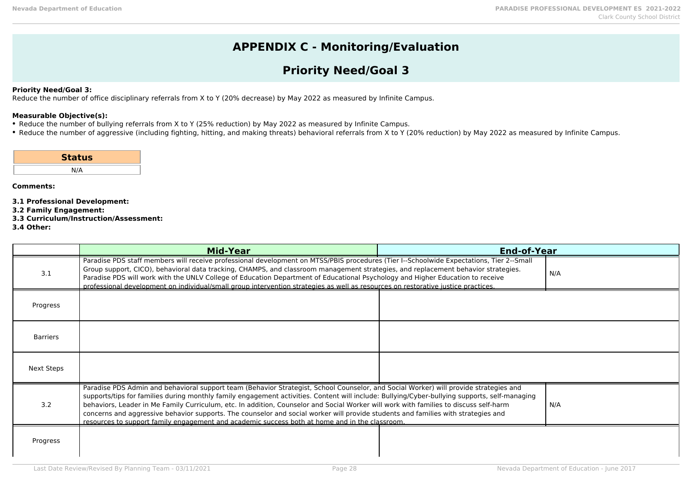# **APPENDIX C - Monitoring/Evaluation**

# **Priority Need/Goal 3**

### **Priority Need/Goal 3:**

Reduce the number of office disciplinary referrals from X to Y (20% decrease) by May 2022 as measured by Infinite Campus.

# **Measurable Objective(s):**

- Reduce the number of bullying referrals from X to Y (25% reduction) by May 2022 as measured by Infinite Campus.
- Reduce the number of aggressive (including fighting, hitting, and making threats) behavioral referrals from X to Y (20% reduction) by May 2022 as measured by Infinite Campus.

| <b>Status</b> |
|---------------|
| N/A           |

- **3.1 Professional Development:**
- **3.2 Family Engagement:**
- **3.3 Curriculum/Instruction/Assessment:**
- **3.4 Other:**

|                 | Mid-Year                                                                                                                                                                                                                                                                                                                                                                                                                                                                                                                                                                                                                                                               | <b>End-of-Year</b> |     |
|-----------------|------------------------------------------------------------------------------------------------------------------------------------------------------------------------------------------------------------------------------------------------------------------------------------------------------------------------------------------------------------------------------------------------------------------------------------------------------------------------------------------------------------------------------------------------------------------------------------------------------------------------------------------------------------------------|--------------------|-----|
| 3.1             | Paradise PDS staff members will receive professional development on MTSS/PBIS procedures (Tier I--Schoolwide Expectations, Tier 2--Small<br>Group support, CICO), behavioral data tracking, CHAMPS, and classroom management strategies, and replacement behavior strategies.<br>Paradise PDS will work with the UNLV College of Education Department of Educational Psychology and Higher Education to receive<br>professional development on individual/small group intervention strategies as well as resources on restorative justice practices.                                                                                                                   |                    | N/A |
| Progress        |                                                                                                                                                                                                                                                                                                                                                                                                                                                                                                                                                                                                                                                                        |                    |     |
| <b>Barriers</b> |                                                                                                                                                                                                                                                                                                                                                                                                                                                                                                                                                                                                                                                                        |                    |     |
| Next Steps      |                                                                                                                                                                                                                                                                                                                                                                                                                                                                                                                                                                                                                                                                        |                    |     |
| 3.2             | Paradise PDS Admin and behavioral support team (Behavior Strategist, School Counselor, and Social Worker) will provide strategies and<br>supports/tips for families during monthly family engagement activities. Content will include: Bullying/Cyber-bullying supports, self-managing<br>behaviors, Leader in Me Family Curriculum, etc. In addition, Counselor and Social Worker will work with families to discuss self-harm<br>concerns and aggressive behavior supports. The counselor and social worker will provide students and families with strategies and<br>resources to support family engagement and academic success both at home and in the classroom. |                    | N/A |
| Progress        |                                                                                                                                                                                                                                                                                                                                                                                                                                                                                                                                                                                                                                                                        |                    |     |